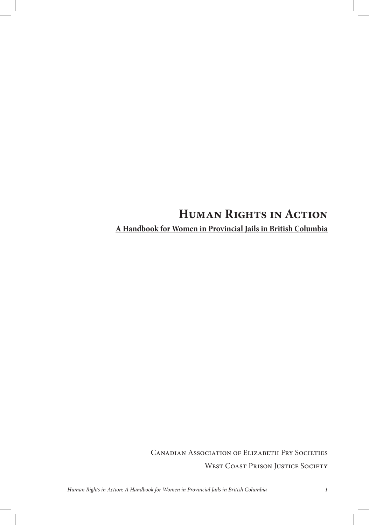# **Human Rights in Action A Handbook for Women in Provincial Jails in British Columbia**

Canadian Association of Elizabeth Fry Societies WEST COAST PRISON JUSTICE SOCIETY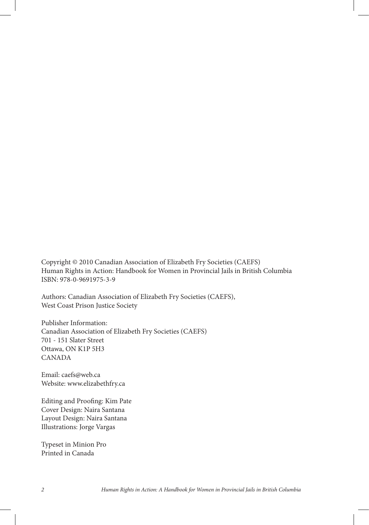Copyright © 2010 Canadian Association of Elizabeth Fry Societies (CAEFS) Human Rights in Action: Handbook for Women in Provincial Jails in British Columbia ISBN: 978-0-9691975-3-9

Authors: Canadian Association of Elizabeth Fry Societies (CAEFS), West Coast Prison Justice Society

Publisher Information: Canadian Association of Elizabeth Fry Societies (CAEFS) 701 - 151 Slater Street Ottawa, ON K1P 5H3 CANADA

Email: caefs@web.ca Website: www.elizabethfry.ca

Editing and Proofing: Kim Pate Cover Design: Naira Santana Layout Design: Naira Santana Illustrations: Jorge Vargas

Typeset in Minion Pro Printed in Canada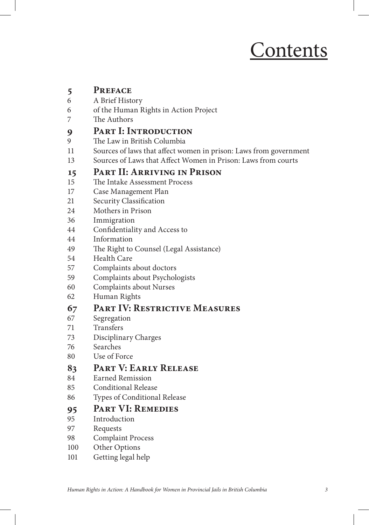# Contents

# **5 PREFACE**<br>6 **A Brief Hist**

- 6 A Brief History
- 6 of the Human Rights in Action Project
- 7 The Authors

# **9** PART I: INTRODUCTION

- The Law in British Columbia
- 11 Sources of laws that affect women in prison: Laws from government
- 13 Sources of Laws that Affect Women in Prison: Laws from courts

#### **15 Part II: Arriving in Prison**

- 15 The Intake Assessment Process
- 17 Case Management Plan
- 21 Security Classification
- 24 Mothers in Prison
- 36 Immigration
- 44 Confidentiality and Access to
- 44 Information
- 49 The Right to Counsel (Legal Assistance)
- 54 Health Care
- 57 Complaints about doctors
- 59 Complaints about Psychologists
- 60 Complaints about Nurses
- 62 Human Rights

#### **67 Part IV: Restrictive Measures**

- 67 Segregation
- 71 Transfers
- 73 Disciplinary Charges
- 76 Searches
- 80 Use of Force

#### **83 Part V: Early Release**

- 84 Earned Remission
- 85 Conditional Release
- 86 Types of Conditional Release

# 95 PART VI: REMEDIES

- **Introduction**
- 97 Requests
- 98 Complaint Process
- 100 Other Options
- 101 Getting legal help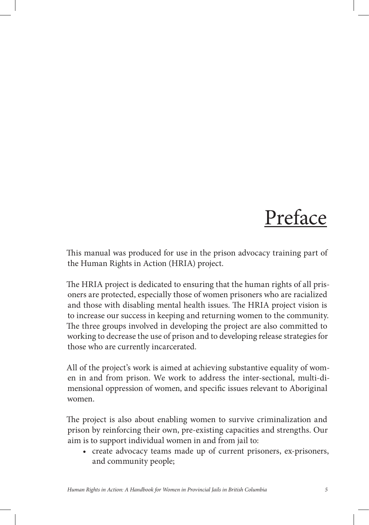# Preface

This manual was produced for use in the prison advocacy training part of the Human Rights in Action (HRIA) project.

The HRIA project is dedicated to ensuring that the human rights of all prisoners are protected, especially those of women prisoners who are racialized and those with disabling mental health issues. The HRIA project vision is to increase our success in keeping and returning women to the community. The three groups involved in developing the project are also committed to working to decrease the use of prison and to developing release strategies for those who are currently incarcerated.

All of the project's work is aimed at achieving substantive equality of women in and from prison. We work to address the inter-sectional, multi-dimensional oppression of women, and specific issues relevant to Aboriginal women.

The project is also about enabling women to survive criminalization and prison by reinforcing their own, pre-existing capacities and strengths. Our aim is to support individual women in and from jail to:

• create advocacy teams made up of current prisoners, ex-prisoners, and community people;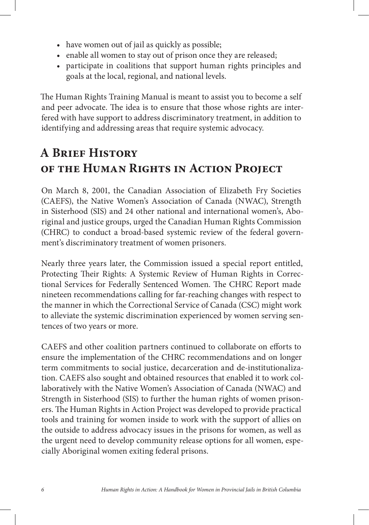- have women out of jail as quickly as possible;
- enable all women to stay out of prison once they are released;
- participate in coalitions that support human rights principles and goals at the local, regional, and national levels.

The Human Rights Training Manual is meant to assist you to become a self and peer advocate. The idea is to ensure that those whose rights are interfered with have support to address discriminatory treatment, in addition to identifying and addressing areas that require systemic advocacy.

# **A Brief History of the Human Rights in Action Project**

On March 8, 2001, the Canadian Association of Elizabeth Fry Societies (CAEFS), the Native Women's Association of Canada (NWAC), Strength in Sisterhood (SIS) and 24 other national and international women's, Aboriginal and justice groups, urged the Canadian Human Rights Commission (CHRC) to conduct a broad-based systemic review of the federal government's discriminatory treatment of women prisoners.

Nearly three years later, the Commission issued a special report entitled, Protecting Their Rights: A Systemic Review of Human Rights in Correctional Services for Federally Sentenced Women. The CHRC Report made nineteen recommendations calling for far-reaching changes with respect to the manner in which the Correctional Service of Canada (CSC) might work to alleviate the systemic discrimination experienced by women serving sentences of two years or more.

CAEFS and other coalition partners continued to collaborate on efforts to ensure the implementation of the CHRC recommendations and on longer term commitments to social justice, decarceration and de-institutionalization. CAEFS also sought and obtained resources that enabled it to work collaboratively with the Native Women's Association of Canada (NWAC) and Strength in Sisterhood (SIS) to further the human rights of women prisoners. The Human Rights in Action Project was developed to provide practical tools and training for women inside to work with the support of allies on the outside to address advocacy issues in the prisons for women, as well as the urgent need to develop community release options for all women, especially Aboriginal women exiting federal prisons.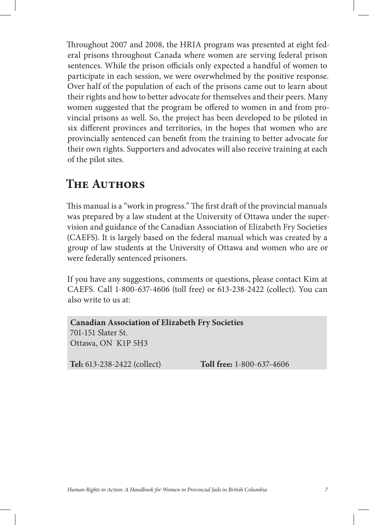Throughout 2007 and 2008, the HRIA program was presented at eight federal prisons throughout Canada where women are serving federal prison sentences. While the prison officials only expected a handful of women to participate in each session, we were overwhelmed by the positive response. Over half of the population of each of the prisons came out to learn about their rights and how to better advocate for themselves and their peers. Many women suggested that the program be offered to women in and from provincial prisons as well. So, the project has been developed to be piloted in six different provinces and territories, in the hopes that women who are provincially sentenced can benefit from the training to better advocate for their own rights. Supporters and advocates will also receive training at each of the pilot sites.

# **The Authors**

This manual is a "work in progress." The first draft of the provincial manuals was prepared by a law student at the University of Ottawa under the supervision and guidance of the Canadian Association of Elizabeth Fry Societies (CAEFS). It is largely based on the federal manual which was created by a group of law students at the University of Ottawa and women who are or were federally sentenced prisoners.

If you have any suggestions, comments or questions, please contact Kim at CAEFS. Call 1-800-637-4606 (toll free) or 613-238-2422 (collect). You can also write to us at:

**Canadian Association of Elizabeth Fry Societies** 701-151 Slater St. Ottawa, ON K1P 5H3

**Tel:** 613-238-2422 (collect) **Toll free:** 1-800-637-4606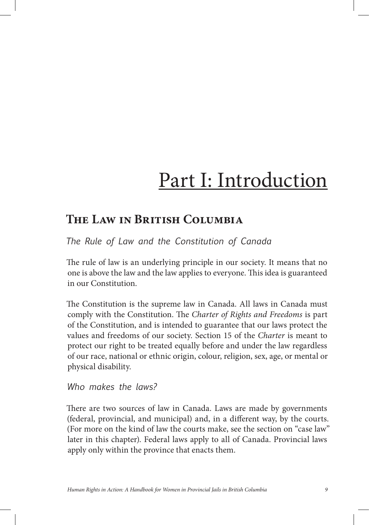# Part I: Introduction

# **The Law in British Columbia**

*The Rule of Law and the Constitution of Canada* 

The rule of law is an underlying principle in our society. It means that no one is above the law and the law applies to everyone. 
is idea is guaranteed in our Constitution.

The Constitution is the supreme law in Canada. All laws in Canada must comply with the Constitution. The *Charter of Rights and Freedoms* is part of the Constitution, and is intended to guarantee that our laws protect the values and freedoms of our society. Section 15 of the *Charter* is meant to protect our right to be treated equally before and under the law regardless of our race, national or ethnic origin, colour, religion, sex, age, or mental or physical disability.

*Who makes the laws?*

There are two sources of law in Canada. Laws are made by governments (federal, provincial, and municipal) and, in a different way, by the courts. (For more on the kind of law the courts make, see the section on "case law" later in this chapter). Federal laws apply to all of Canada. Provincial laws apply only within the province that enacts them.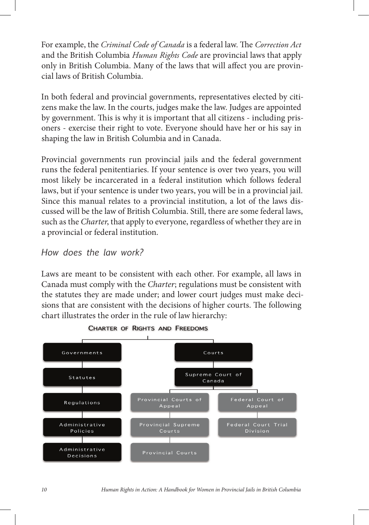For example, the *Criminal Code of Canada* is a federal law. The *Correction Act* and the British Columbia *Human Rights Code* are provincial laws that apply only in British Columbia. Many of the laws that will affect you are provincial laws of British Columbia.

In both federal and provincial governments, representatives elected by citizens make the law. In the courts, judges make the law. Judges are appointed by government. This is why it is important that all citizens - including prisoners - exercise their right to vote. Everyone should have her or his say in shaping the law in British Columbia and in Canada.

Provincial governments run provincial jails and the federal government runs the federal penitentiaries. If your sentence is over two years, you will most likely be incarcerated in a federal institution which follows federal laws, but if your sentence is under two years, you will be in a provincial jail. Since this manual relates to a provincial institution, a lot of the laws discussed will be the law of British Columbia. Still, there are some federal laws, such as the *Charter*, that apply to everyone, regardless of whether they are in a provincial or federal institution.

#### *How does the law work?*

Laws are meant to be consistent with each other. For example, all laws in Canada must comply with the *Charter*; regulations must be consistent with the statutes they are made under; and lower court judges must make decisions that are consistent with the decisions of higher courts. The following chart illustrates the order in the rule of law hierarchy:



CHARTER OF RIGHTS AND FREEDOMS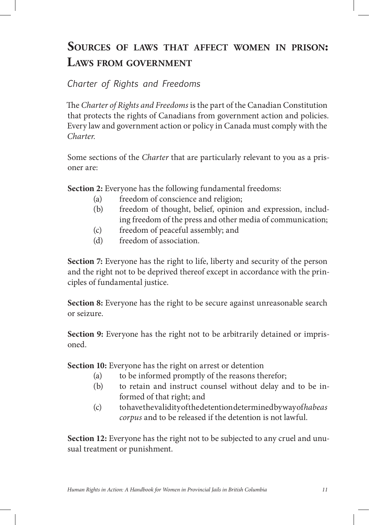# **SOURCES OF LAWS THAT AFFECT WOMEN IN PRISON: LAWS FROM GOVERNMENT**

*Charter of Rights and Freedoms*

e *Charter of Rights and Freedoms* is the part of the Canadian Constitution that protects the rights of Canadians from government action and policies. Every law and government action or policy in Canada must comply with the *Charter.*

Some sections of the *Charter* that are particularly relevant to you as a prisoner are:

**Section 2:** Everyone has the following fundamental freedoms:

- (a) freedom of conscience and religion;
- (b) freedom of thought, belief, opinion and expression, includ ing freedom of the press and other media of communication;
- (c) freedom of peaceful assembly; and
- (d) freedom of association.

**Section 7:** Everyone has the right to life, liberty and security of the person and the right not to be deprived thereof except in accordance with the principles of fundamental justice.

Section 8: Everyone has the right to be secure against unreasonable search or seizure.

**Section 9:** Everyone has the right not to be arbitrarily detained or imprisoned.

**Section 10:** Everyone has the right on arrest or detention

- (a) to be informed promptly of the reasons therefor;
- (b) to retain and instruct counsel without delay and to be in formed of that right; and
- (c) to have the validity of the detention determined by way of *habeas corpus* and to be released if the detention is not lawful.

**Section 12:** Everyone has the right not to be subjected to any cruel and unusual treatment or punishment.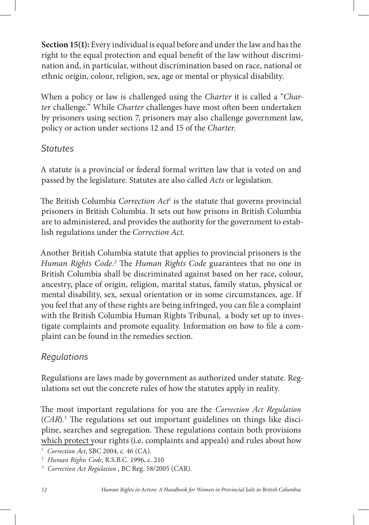**Section 15(1):** Every individual is equal before and under the law and has the right to the equal protection and equal benefit of the law without discrimination and, in particular, without discrimination based on race, national or ethnic origin, colour, religion, sex, age or mental or physical disability.

When a policy or law is challenged using the *Charter* it is called a "*Charter c*hallenge." While *Charter c*hallenges have most often been undertaken by prisoners using section 7, prisoners may also challenge government law, policy or action under sections 12 and 15 of the *Charter*.

#### *Statutes*

A statute is a provincial or federal formal written law that is voted on and passed by the legislature. Statutes are also called *Acts* or legislation.

The British Columbia Correction Act<sup>1</sup> is the statute that governs provincial prisoners in British Columbia. It sets out how prisons in British Columbia are to administered, and provides the authority for the government to establish regulations under the *Correction Act*.

Another British Columbia statute that applies to provincial prisoners is the *Human Rights Code.<sup>2</sup>* The *Human Rights Code* guarantees that no one in British Columbia shall be discriminated against based on her race, colour, ancestry, place of origin, religion, marital status, family status, physical or mental disability, sex, sexual orientation or in some circumstances, age. If you feel that any of these rights are being infringed, you can file a complaint with the British Columbia Human Rights Tribunal, a body set up to investigate complaints and promote equality. Information on how to file a complaint can be found in the remedies section.

# *Regulations*

Regulations are laws made by government as authorized under statute. Regulations set out the concrete rules of how the statutes apply in reality.

e most important regulations for you are the *Correction Act Regulation*  $(CAR)$ .<sup>3</sup> The regulations set out important guidelines on things like discipline, searches and segregation. These regulations contain both provisions which protect your rights (i.e. complaints and appeals) and rules about how

1  *Correction Act*, SBC 2004, c. 46 (CA).

<sup>2</sup>  *Human Rights Code*, R.S.B.C. 1996, c. 210

<sup>3</sup>  *Correction Act Regulation* , BC Reg. 58/2005 (CAR).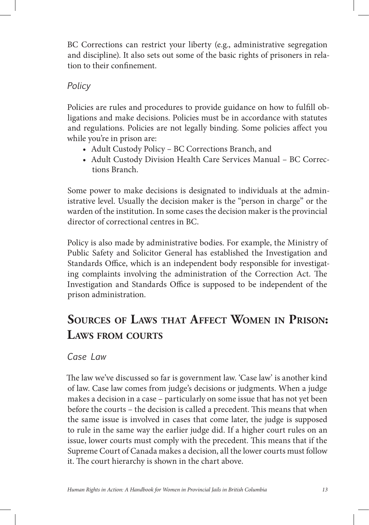BC Corrections can restrict your liberty (e.g., administrative segregation and discipline). It also sets out some of the basic rights of prisoners in relation to their confinement.

### *Policy*

Policies are rules and procedures to provide guidance on how to fulfill obligations and make decisions. Policies must be in accordance with statutes and regulations. Policies are not legally binding. Some policies affect you while you're in prison are:

- Adult Custody Policy BC Corrections Branch, and
- Adult Custody Division Health Care Services Manual BC Corrections Branch.

Some power to make decisions is designated to individuals at the administrative level. Usually the decision maker is the "person in charge" or the warden of the institution. In some cases the decision maker is the provincial director of correctional centres in BC.

Policy is also made by administrative bodies. For example, the Ministry of Public Safety and Solicitor General has established the Investigation and Standards Office, which is an independent body responsible for investigating complaints involving the administration of the Correction Act. The Investigation and Standards Office is supposed to be independent of the prison administration.

# **SOURCES OF LAWS THAT AFFECT WOMEN IN PRISON: LAWS FROM COURTS**

*Case Law* 

The law we've discussed so far is government law. 'Case law' is another kind of law. Case law comes from judge's decisions or judgments. When a judge makes a decision in a case – particularly on some issue that has not yet been before the courts - the decision is called a precedent. This means that when the same issue is involved in cases that come later, the judge is supposed to rule in the same way the earlier judge did. If a higher court rules on an issue, lower courts must comply with the precedent. This means that if the Supreme Court of Canada makes a decision, all the lower courts must follow it. The court hierarchy is shown in the chart above.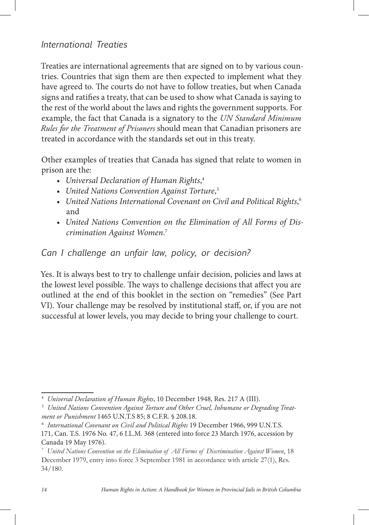### *International Treaties*

Treaties are international agreements that are signed on to by various countries. Countries that sign them are then expected to implement what they have agreed to. The courts do not have to follow treaties, but when Canada signs and ratifies a treaty, that can be used to show what Canada is saying to the rest of the world about the laws and rights the government supports. For example, the fact that Canada is a signatory to the *UN Standard Minimum Rules for the Treatment of Prisoners* should mean that Canadian prisoners are treated in accordance with the standards set out in this treaty.

Other examples of treaties that Canada has signed that relate to women in prison are the:

- *• Universal Declaration of Human Rights*, 4
- *• United Nations Convention Against Torture*, 5
- *• United Nations International Covenant on Civil and Political Rights*, 6 and
- *• United Nations Convention on the Elimination of All Forms of Discrimination Against Women*. 7

#### *Can I challenge an unfair law, policy, or decision?*

Yes. It is always best to try to challenge unfair decision, policies and laws at the lowest level possible. The ways to challenge decisions that affect you are outlined at the end of this booklet in the section on "remedies" (See Part VI). Your challenge may be resolved by institutional staff, or, if you are not successful at lower levels, you may decide to bring your challenge to court.

<sup>4</sup>  *Universal Declaration of Human Rights*, 10 December 1948, Res. 217 A (III).

<sup>5</sup>  *United Nations Convention Against Torture and Other Cruel, Inhumane or Degrading Treatment or Punishment* 1465 U.N.T.S 85; 8 C.F.R. § 208.18.

<sup>6</sup>  *International Covenant on Civil and Political Rights* 19 December 1966, 999 U.N.T.S. 171, Can. T.S. 1976 No. 47, 6 I.L.M. 368 (entered into force 23 March 1976, accession by Canada 19 May 1976).

<sup>7</sup>  *United Nations Convention on the Elimination of All Forms of Discrimination Against Women*, 18 December 1979, entry into force 3 September 1981 in accordance with article 27(1), Res. 34/180.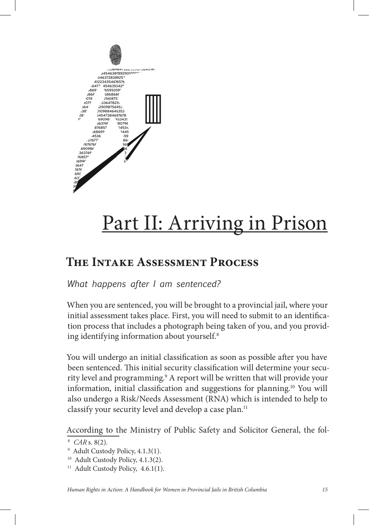

# Part II: Arriving in Prison

# **The Intake Assessment Process**

*What happens after I am sentenced?*

When you are sentenced, you will be brought to a provincial jail, where your initial assessment takes place. First, you will need to submit to an identification process that includes a photograph being taken of you, and you providing identifying information about yourself.<sup>8</sup>

You will undergo an initial classification as soon as possible after you have been sentenced. This initial security classification will determine your security level and programming.9 A report will be written that will provide your information, initial classification and suggestions for planning.<sup>10</sup> You will also undergo a Risk/Needs Assessment (RNA) which is intended to help to classify your security level and develop a case plan.<sup>11</sup>

According to the Ministry of Public Safety and Solicitor General, the fol-

<sup>8</sup>  *CAR* s. 8(2).

<sup>9</sup> Adult Custody Policy, 4.1.3(1).

<sup>&</sup>lt;sup>10</sup> Adult Custody Policy, 4.1.3(2).

<sup>&</sup>lt;sup>11</sup> Adult Custody Policy, 4.6.1(1).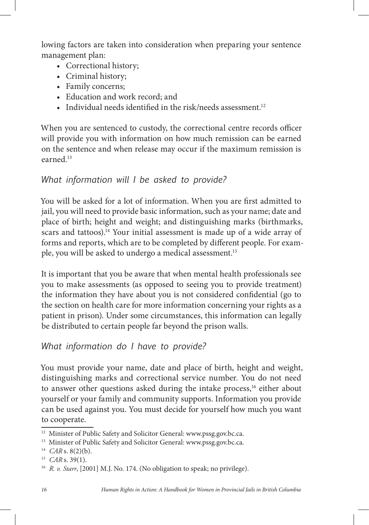lowing factors are taken into consideration when preparing your sentence management plan:

- Correctional history;
- Criminal history;
- Family concerns;
- • Education and work record; and
- Individual needs identified in the risk/needs assessment.<sup>12</sup>

When you are sentenced to custody, the correctional centre records officer will provide you with information on how much remission can be earned on the sentence and when release may occur if the maximum remission is earned.13

# *What information will I be asked to provide?*

You will be asked for a lot of information. When you are first admitted to jail, you will need to provide basic information, such as your name; date and place of birth; height and weight; and distinguishing marks (birthmarks, scars and tattoos).<sup>14</sup> Your initial assessment is made up of a wide array of forms and reports, which are to be completed by different people. For example, you will be asked to undergo a medical assessment.15

It is important that you be aware that when mental health professionals see you to make assessments (as opposed to seeing you to provide treatment) the information they have about you is not considered confidential (go to the section on health care for more information concerning your rights as a patient in prison). Under some circumstances, this information can legally be distributed to certain people far beyond the prison walls.

# *What information do I have to provide?*

You must provide your name, date and place of birth, height and weight, distinguishing marks and correctional service number. You do not need to answer other questions asked during the intake process,<sup>16</sup> either about yourself or your family and community supports. Information you provide can be used against you. You must decide for yourself how much you want to cooperate.

<sup>&</sup>lt;sup>12</sup> Minister of Public Safety and Solicitor General: www.pssg.gov.bc.ca.

<sup>&</sup>lt;sup>13</sup> Minister of Public Safety and Solicitor General: www.pssg.gov.bc.ca.

<sup>14</sup> *CAR* s. 8(2)(b).

<sup>15</sup> *CAR* s. 39(1).

<sup>&</sup>lt;sup>16</sup> *R. v. Starr*, [2001] M.J. No. 174. (No obligation to speak; no privilege).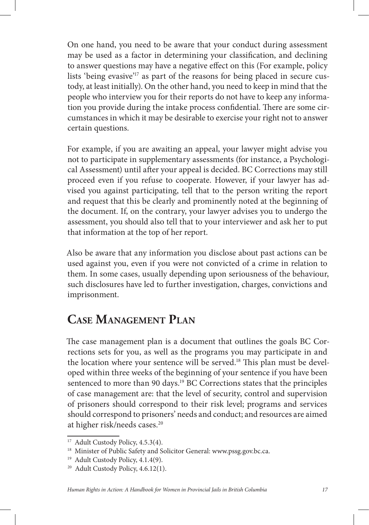On one hand, you need to be aware that your conduct during assessment may be used as a factor in determining your classification, and declining to answer questions may have a negative effect on this (For example, policy lists 'being evasive'<sup>17</sup> as part of the reasons for being placed in secure custody, at least initially). On the other hand, you need to keep in mind that the people who interview you for their reports do not have to keep any information you provide during the intake process confidential. There are some circumstances in which it may be desirable to exercise your right not to answer certain questions.

For example, if you are awaiting an appeal, your lawyer might advise you not to participate in supplementary assessments (for instance, a Psychological Assessment) until after your appeal is decided. BC Corrections may still proceed even if you refuse to cooperate. However, if your lawyer has advised you against participating, tell that to the person writing the report and request that this be clearly and prominently noted at the beginning of the document. If, on the contrary, your lawyer advises you to undergo the assessment, you should also tell that to your interviewer and ask her to put that information at the top of her report.

Also be aware that any information you disclose about past actions can be used against you, even if you were not convicted of a crime in relation to them. In some cases, usually depending upon seriousness of the behaviour, such disclosures have led to further investigation, charges, convictions and imprisonment.

# **CASE MANAGEMENT PLAN**

The case management plan is a document that outlines the goals BC Corrections sets for you, as well as the programs you may participate in and the location where your sentence will be served.<sup>18</sup> This plan must be developed within three weeks of the beginning of your sentence if you have been sentenced to more than 90 days.<sup>19</sup> BC Corrections states that the principles of case management are: that the level of security, control and supervision of prisoners should correspond to their risk level; programs and services should correspond to prisoners' needs and conduct; and resources are aimed at higher risk/needs cases.20

<sup>&</sup>lt;sup>17</sup> Adult Custody Policy, 4.5.3(4).

<sup>&</sup>lt;sup>18</sup> Minister of Public Safety and Solicitor General: www.pssg.gov.bc.ca.

<sup>&</sup>lt;sup>19</sup> Adult Custody Policy, 4.1.4(9).

<sup>&</sup>lt;sup>20</sup> Adult Custody Policy, 4.6.12(1).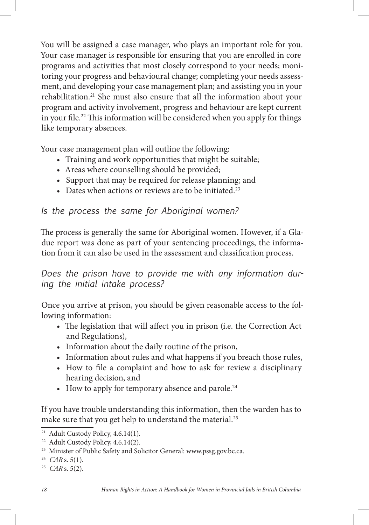You will be assigned a case manager, who plays an important role for you. Your case manager is responsible for ensuring that you are enrolled in core programs and activities that most closely correspond to your needs; monitoring your progress and behavioural change; completing your needs assessment, and developing your case management plan; and assisting you in your rehabilitation.21 She must also ensure that all the information about your program and activity involvement, progress and behaviour are kept current in your file.<sup>22</sup> This information will be considered when you apply for things like temporary absences.

Your case management plan will outline the following:

- Training and work opportunities that might be suitable;
- Areas where counselling should be provided;
- Support that may be required for release planning; and
- Dates when actions or reviews are to be initiated.<sup>23</sup>

*Is the process the same for Aboriginal women?*

The process is generally the same for Aboriginal women. However, if a Gladue report was done as part of your sentencing proceedings, the information from it can also be used in the assessment and classification process.

*Does the prison have to provide me with any information during the initial intake process?*

Once you arrive at prison, you should be given reasonable access to the following information:

- The legislation that will affect you in prison (i.e. the Correction Act and Regulations),
- Information about the daily routine of the prison,
- Information about rules and what happens if you breach those rules,
- How to file a complaint and how to ask for review a disciplinary hearing decision, and
- How to apply for temporary absence and parole.<sup>24</sup>

If you have trouble understanding this information, then the warden has to make sure that you get help to understand the material.<sup>25</sup>

<sup>&</sup>lt;sup>21</sup> Adult Custody Policy,  $4.6.14(1)$ .

<sup>&</sup>lt;sup>22</sup> Adult Custody Policy, 4.6.14(2).

<sup>&</sup>lt;sup>23</sup> Minister of Public Safety and Solicitor General: www.pssg.gov.bc.ca.

<sup>24</sup> *CAR* s. 5(1).

<sup>25</sup> *CAR* s. 5(2).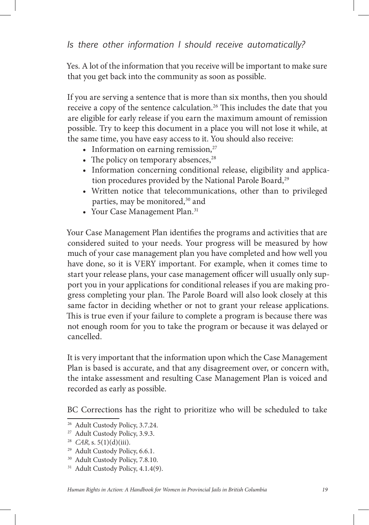Yes. A lot of the information that you receive will be important to make sure that you get back into the community as soon as possible.

If you are serving a sentence that is more than six months, then you should receive a copy of the sentence calculation.<sup>26</sup> This includes the date that you are eligible for early release if you earn the maximum amount of remission possible. Try to keep this document in a place you will not lose it while, at the same time, you have easy access to it. You should also receive:

- Information on earning remission, $27$
- The policy on temporary absences,  $28$
- Information concerning conditional release, eligibility and application procedures provided by the National Parole Board,<sup>29</sup>
- Written notice that telecommunications, other than to privileged parties, may be monitored,<sup>30</sup> and
- Your Case Management Plan.<sup>31</sup>

Your Case Management Plan identifies the programs and activities that are considered suited to your needs. Your progress will be measured by how much of your case management plan you have completed and how well you have done, so it is VERY important. For example, when it comes time to start your release plans, your case management officer will usually only support you in your applications for conditional releases if you are making progress completing your plan. The Parole Board will also look closely at this same factor in deciding whether or not to grant your release applications. This is true even if your failure to complete a program is because there was not enough room for you to take the program or because it was delayed or cancelled.

It is very important that the information upon which the Case Management Plan is based is accurate, and that any disagreement over, or concern with, the intake assessment and resulting Case Management Plan is voiced and recorded as early as possible.

BC Corrections has the right to prioritize who will be scheduled to take

30 Adult Custody Policy, 7.8.10.

<sup>26</sup> Adult Custody Policy, 3.7.24.

<sup>27</sup> Adult Custody Policy, 3.9.3.

<sup>&</sup>lt;sup>28</sup> *CAR*, s. 5(1)(d)(iii).

<sup>&</sup>lt;sup>29</sup> Adult Custody Policy, 6.6.1.

<sup>&</sup>lt;sup>31</sup> Adult Custody Policy, 4.1.4(9).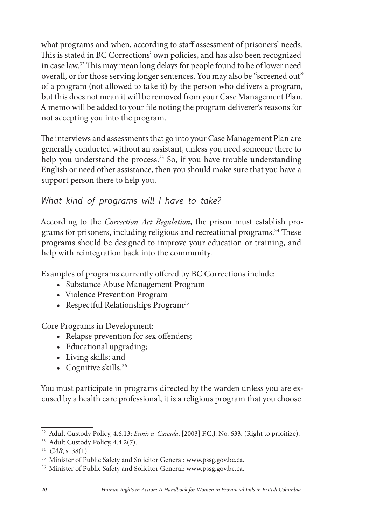what programs and when, according to staff assessment of prisoners' needs. This is stated in BC Corrections' own policies, and has also been recognized in case law.<sup>32</sup> This may mean long delays for people found to be of lower need overall, or for those serving longer sentences. You may also be "screened out" of a program (not allowed to take it) by the person who delivers a program, but this does not mean it will be removed from your Case Management Plan. A memo will be added to your file noting the program deliverer's reasons for not accepting you into the program.

The interviews and assessments that go into your Case Management Plan are generally conducted without an assistant, unless you need someone there to help you understand the process.<sup>33</sup> So, if you have trouble understanding English or need other assistance, then you should make sure that you have a support person there to help you.

## *What kind of programs will I have to take?*

According to the *Correction Act Regulation*, the prison must establish programs for prisoners, including religious and recreational programs.<sup>34</sup> These programs should be designed to improve your education or training, and help with reintegration back into the community.

Examples of programs currently offered by BC Corrections include:

- • Substance Abuse Management Program
- • Violence Prevention Program
- Respectful Relationships Program<sup>35</sup>

Core Programs in Development:

- Relapse prevention for sex offenders;
- Educational upgrading;
- • Living skills; and
- Cognitive skills.<sup>36</sup>

You must participate in programs directed by the warden unless you are excused by a health care professional, it is a religious program that you choose

<sup>32</sup> Adult Custody Policy, 4.6.13; *Ennis v. Canada*, [2003] F.C.J. No. 633. (Right to prioitize).

<sup>33</sup> Adult Custody Policy, 4.4.2(7).

<sup>34</sup> *CAR*, s. 38(1).

<sup>&</sup>lt;sup>35</sup> Minister of Public Safety and Solicitor General: www.pssg.gov.bc.ca.

<sup>&</sup>lt;sup>36</sup> Minister of Public Safety and Solicitor General: www.pssg.gov.bc.ca.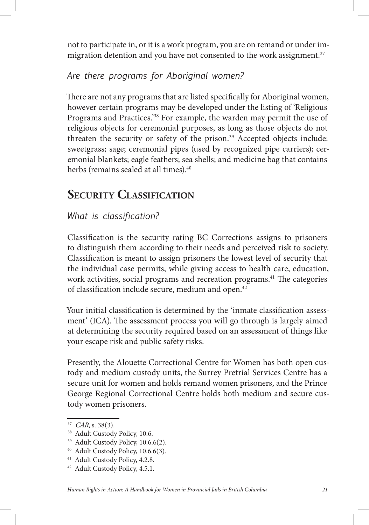not to participate in, or it is a work program, you are on remand or under immigration detention and you have not consented to the work assignment.<sup>37</sup>

# *Are there programs for Aboriginal women?*

There are not any programs that are listed specifically for Aboriginal women, however certain programs may be developed under the listing of 'Religious Programs and Practices.'38 For example, the warden may permit the use of religious objects for ceremonial purposes, as long as those objects do not threaten the security or safety of the prison.<sup>39</sup> Accepted objects include: sweetgrass; sage; ceremonial pipes (used by recognized pipe carriers); ceremonial blankets; eagle feathers; sea shells; and medicine bag that contains herbs (remains sealed at all times).<sup>40</sup>

# **SECURITY CLASSIFICATION**

# *What is classification?*

Classification is the security rating BC Corrections assigns to prisoners to distinguish them according to their needs and perceived risk to society. Classification is meant to assign prisoners the lowest level of security that the individual case permits, while giving access to health care, education, work activities, social programs and recreation programs.<sup>41</sup> The categories of classification include secure, medium and open.<sup>42</sup>

Your initial classification is determined by the 'inmate classification assessment' (ICA). The assessment process you will go through is largely aimed at determining the security required based on an assessment of things like your escape risk and public safety risks.

Presently, the Alouette Correctional Centre for Women has both open custody and medium custody units, the Surrey Pretrial Services Centre has a secure unit for women and holds remand women prisoners, and the Prince George Regional Correctional Centre holds both medium and secure custody women prisoners.

<sup>37</sup> *CAR*, s. 38(3).

<sup>&</sup>lt;sup>38</sup> Adult Custody Policy, 10.6.

<sup>&</sup>lt;sup>39</sup> Adult Custody Policy, 10.6.6(2).

<sup>40</sup> Adult Custody Policy, 10.6.6(3).

<sup>41</sup> Adult Custody Policy, 4.2.8.

<sup>42</sup> Adult Custody Policy, 4.5.1.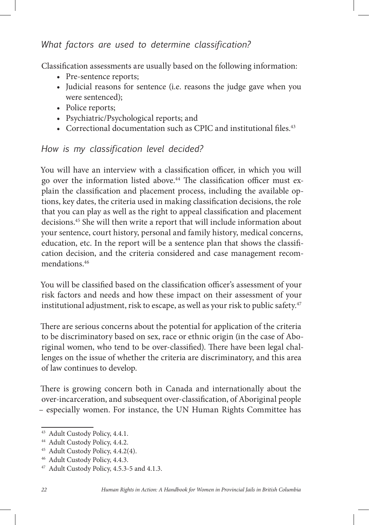# *What factors are used to determine classification?*

Classification assessments are usually based on the following information:

- Pre-sentence reports;
- Judicial reasons for sentence (i.e. reasons the judge gave when you were sentenced);
- Police reports;
- • Psychiatric/Psychological reports; and
- Correctional documentation such as CPIC and institutional files. $43$

## *How is my classification level decided?*

You will have an interview with a classification officer, in which you will go over the information listed above.<sup>44</sup> The classification officer must explain the classification and placement process, including the available options, key dates, the criteria used in making classification decisions, the role that you can play as well as the right to appeal classification and placement decisions.45 She will then write a report that will include information about your sentence, court history, personal and family history, medical concerns, education, etc. In the report will be a sentence plan that shows the classification decision, and the criteria considered and case management recommendations.46

You will be classified based on the classification officer's assessment of your risk factors and needs and how these impact on their assessment of your institutional adjustment, risk to escape, as well as your risk to public safety.<sup>47</sup>

There are serious concerns about the potential for application of the criteria to be discriminatory based on sex, race or ethnic origin (in the case of Aboriginal women, who tend to be over-classified). There have been legal challenges on the issue of whether the criteria are discriminatory, and this area of law continues to develop.

There is growing concern both in Canada and internationally about the over-incarceration, and subsequent over-classification, of Aboriginal people – especially women. For instance, the UN Human Rights Committee has

<sup>43</sup> Adult Custody Policy, 4.4.1.

<sup>44</sup> Adult Custody Policy, 4.4.2.

<sup>45</sup> Adult Custody Policy, 4.4.2(4).

<sup>46</sup> Adult Custody Policy, 4.4.3.

<sup>47</sup> Adult Custody Policy, 4.5.3-5 and 4.1.3.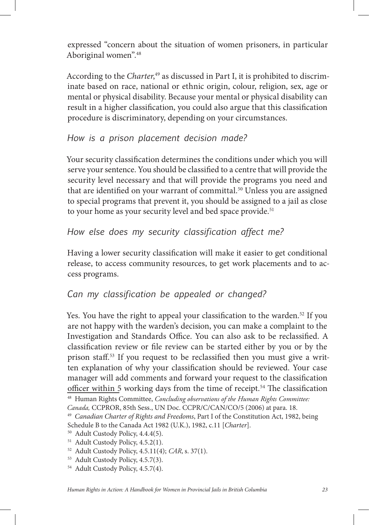expressed "concern about the situation of women prisoners, in particular Aboriginal women".48

According to the *Charter*, 49 as discussed in Part I, it is prohibited to discriminate based on race, national or ethnic origin, colour, religion, sex, age or mental or physical disability. Because your mental or physical disability can result in a higher classification, you could also argue that this classification procedure is discriminatory, depending on your circumstances.

#### *How is a prison placement decision made?*

Your security classification determines the conditions under which you will serve your sentence. You should be classified to a centre that will provide the security level necessary and that will provide the programs you need and that are identified on your warrant of committal.<sup>50</sup> Unless you are assigned to special programs that prevent it, you should be assigned to a jail as close to your home as your security level and bed space provide.<sup>51</sup>

## *How else does my security classification affect me?*

Having a lower security classification will make it easier to get conditional release, to access community resources, to get work placements and to access programs.

# *Can my classification be appealed or changed?*

Yes. You have the right to appeal your classification to the warden.<sup>52</sup> If you are not happy with the warden's decision, you can make a complaint to the Investigation and Standards Office. You can also ask to be reclassified. A classification review or file review can be started either by you or by the prison staff.<sup>53</sup> If you request to be reclassified then you must give a written explanation of why your classification should be reviewed. Your case manager will add comments and forward your request to the classification officer within 5 working days from the time of receipt.<sup>54</sup> The classification <sup>48</sup> Human Rights Committee:

*Canada,* CCPROR, 85th Sess., UN Doc. CCPR/C/CAN/CO/5 (2006) at para. 18.

<sup>49</sup> *Canadian Charter of Rights and Freedoms*, Part I of the Constitution Act, 1982, being Schedule B to the Canada Act 1982 (U.K.), 1982, c.11 [*Charter*].

<sup>50</sup> Adult Custody Policy, 4.4.4(5).

<sup>51</sup> Adult Custody Policy, 4.5.2(1).

<sup>52</sup> Adult Custody Policy, 4.5.11(4); *CAR*, s. 37(1).

<sup>53</sup> Adult Custody Policy, 4.5.7(3).

<sup>54</sup> Adult Custody Policy, 4.5.7(4).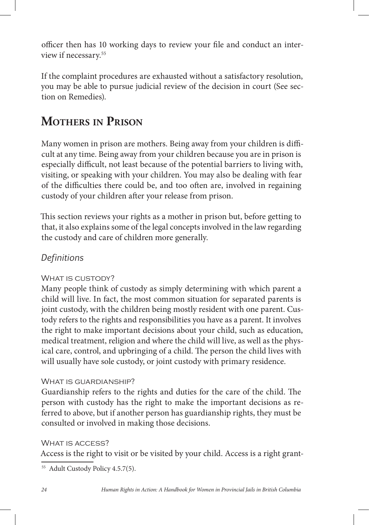officer then has 10 working days to review your file and conduct an interview if necessary.55

If the complaint procedures are exhausted without a satisfactory resolution, you may be able to pursue judicial review of the decision in court (See section on Remedies).

# **MOTHERS IN PRISON**

Many women in prison are mothers. Being away from your children is difficult at any time. Being away from your children because you are in prison is especially difficult, not least because of the potential barriers to living with, visiting, or speaking with your children. You may also be dealing with fear of the difficulties there could be, and too often are, involved in regaining custody of your children after your release from prison.

This section reviews your rights as a mother in prison but, before getting to that, it also explains some of the legal concepts involved in the law regarding the custody and care of children more generally.

## *Definitions*

#### WHAT IS CUSTODY?

Many people think of custody as simply determining with which parent a child will live. In fact, the most common situation for separated parents is joint custody, with the children being mostly resident with one parent. Custody refers to the rights and responsibilities you have as a parent. It involves the right to make important decisions about your child, such as education, medical treatment, religion and where the child will live, as well as the physical care, control, and upbringing of a child. The person the child lives with will usually have sole custody, or joint custody with primary residence.

#### WHAT IS GUARDIANSHIP?

Guardianship refers to the rights and duties for the care of the child. The person with custody has the right to make the important decisions as referred to above, but if another person has guardianship rights, they must be consulted or involved in making those decisions.

#### WHAT IS ACCESS?

Access is the right to visit or be visited by your child. Access is a right grant-

<sup>55</sup> Adult Custody Policy 4.5.7(5).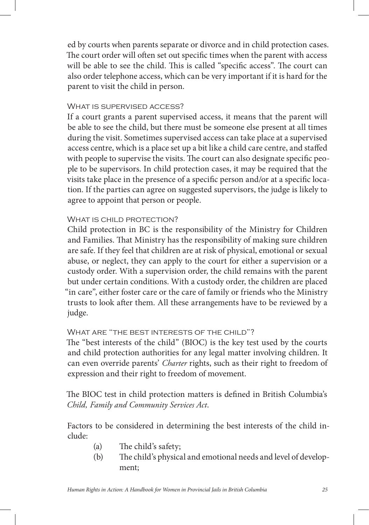ed by courts when parents separate or divorce and in child protection cases. The court order will often set out specific times when the parent with access will be able to see the child. This is called "specific access". The court can also order telephone access, which can be very important if it is hard for the parent to visit the child in person.

#### WHAT IS SUPERVISED ACCESS?

If a court grants a parent supervised access, it means that the parent will be able to see the child, but there must be someone else present at all times during the visit. Sometimes supervised access can take place at a supervised access centre, which is a place set up a bit like a child care centre, and staffed with people to supervise the visits. The court can also designate specific people to be supervisors. In child protection cases, it may be required that the visits take place in the presence of a specific person and/or at a specific location. If the parties can agree on suggested supervisors, the judge is likely to agree to appoint that person or people.

#### WHAT IS CHILD PROTECTION?

Child protection in BC is the responsibility of the Ministry for Children and Families. That Ministry has the responsibility of making sure children are safe. If they feel that children are at risk of physical, emotional or sexual abuse, or neglect, they can apply to the court for either a supervision or a custody order. With a supervision order, the child remains with the parent but under certain conditions. With a custody order, the children are placed "in care", either foster care or the care of family or friends who the Ministry trusts to look after them. All these arrangements have to be reviewed by a judge.

#### WHAT ARE "THE BEST INTERESTS OF THE CHILD"?

The "best interests of the child" (BIOC) is the key test used by the courts and child protection authorities for any legal matter involving children. It can even override parents' *Charter* rights, such as their right to freedom of expression and their right to freedom of movement.

The BIOC test in child protection matters is defined in British Columbia's *Child, Family and Community Services Act*.

Factors to be considered in determining the best interests of the child include:

- (a) The child's safety;
- (b) The child's physical and emotional needs and level of development;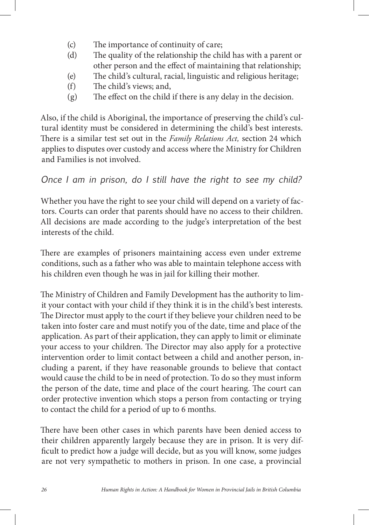- (c) The importance of continuity of care;
- (d) The quality of the relationship the child has with a parent or other person and the effect of maintaining that relationship;
- (e) The child's cultural, racial, linguistic and religious heritage;
- (f) 
e child's views; and,
- $(g)$  The effect on the child if there is any delay in the decision.

Also, if the child is Aboriginal, the importance of preserving the child's cultural identity must be considered in determining the child's best interests. There is a similar test set out in the *Family Relations Act*, section 24 which applies to disputes over custody and access where the Ministry for Children and Families is not involved.

### *Once I am in prison, do I still have the right to see my child?*

Whether you have the right to see your child will depend on a variety of factors. Courts can order that parents should have no access to their children. All decisions are made according to the judge's interpretation of the best interests of the child.

There are examples of prisoners maintaining access even under extreme conditions, such as a father who was able to maintain telephone access with his children even though he was in jail for killing their mother.

The Ministry of Children and Family Development has the authority to limit your contact with your child if they think it is in the child's best interests. The Director must apply to the court if they believe your children need to be taken into foster care and must notify you of the date, time and place of the application. As part of their application, they can apply to limit or eliminate your access to your children. The Director may also apply for a protective intervention order to limit contact between a child and another person, including a parent, if they have reasonable grounds to believe that contact would cause the child to be in need of protection. To do so they must inform the person of the date, time and place of the court hearing. The court can order protective invention which stops a person from contacting or trying to contact the child for a period of up to 6 months.

There have been other cases in which parents have been denied access to their children apparently largely because they are in prison. It is very dif ficult to predict how a judge will decide, but as you will know, some judges are not very sympathetic to mothers in prison. In one case, a provincial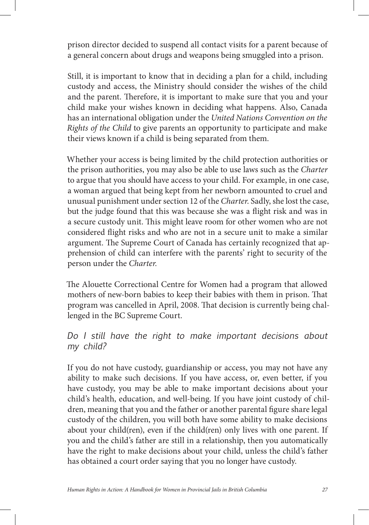prison director decided to suspend all contact visits for a parent because of a general concern about drugs and weapons being smuggled into a prison.

Still, it is important to know that in deciding a plan for a child, including custody and access, the Ministry should consider the wishes of the child and the parent. Therefore, it is important to make sure that you and your child make your wishes known in deciding what happens. Also, Canada has an international obligation under the *United Nations Convention on the Rights of the Child* to give parents an opportunity to participate and make their views known if a child is being separated from them.

Whether your access is being limited by the child protection authorities or the prison authorities, you may also be able to use laws such as the *Charter* to argue that you should have access to your child. For example, in one case, a woman argued that being kept from her newborn amounted to cruel and unusual punishment under section 12 of the *Charter*. Sadly, she lost the case, but the judge found that this was because she was a flight risk and was in a secure custody unit. This might leave room for other women who are not considered flight risks and who are not in a secure unit to make a similar argument. The Supreme Court of Canada has certainly recognized that apprehension of child can interfere with the parents' right to security of the person under the *Charter.*

The Alouette Correctional Centre for Women had a program that allowed mothers of new-born babies to keep their babies with them in prison. That program was cancelled in April, 2008. That decision is currently being challenged in the BC Supreme Court.

#### *Do I still have the right to make important decisions about my child?*

If you do not have custody, guardianship or access, you may not have any ability to make such decisions. If you have access, or, even better, if you have custody, you may be able to make important decisions about your child's health, education, and well-being. If you have joint custody of children, meaning that you and the father or another parental figure share legal custody of the children, you will both have some ability to make decisions about your child(ren), even if the child(ren) only lives with one parent. If you and the child's father are still in a relationship, then you automatically have the right to make decisions about your child, unless the child's father has obtained a court order saying that you no longer have custody.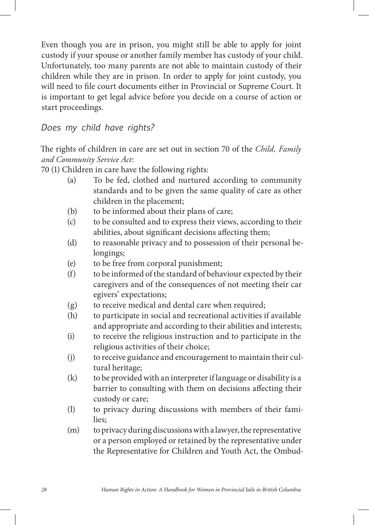Even though you are in prison, you might still be able to apply for joint custody if your spouse or another family member has custody of your child. Unfortunately, too many parents are not able to maintain custody of their children while they are in prison. In order to apply for joint custody, you will need to file court documents either in Provincial or Supreme Court. It is important to get legal advice before you decide on a course of action or start proceedings.

#### *Does my child have rights?*

The rights of children in care are set out in section 70 of the *Child, Family and Community Service Act*:

70 (1) Children in care have the following rights:

- (a) To be fed, clothed and nurtured according to community standards and to be given the same quality of care as other children in the placement;
- (b) to be informed about their plans of care;
- (c) to be consulted and to express their views, according to their abilities, about significant decisions affecting them;
- (d) to reasonable privacy and to possession of their personal be longings;
- (e) to be free from corporal punishment;
- (f) to be informed of the standard of behaviour expected by their caregivers and of the consequences of not meeting their car egivers' expectations;
- (g) to receive medical and dental care when required;
- (h) to participate in social and recreational activities if available and appropriate and according to their abilities and interests;
- (i) to receive the religious instruction and to participate in the religious activities of their choice;
- (j) to receive guidance and encouragement to maintain their cul tural heritage;
- (k) to be provided with an interpreter if language or disability is a barrier to consulting with them on decisions affecting their custody or care;
- (l) to privacy during discussions with members of their fami lies;
- (m) to privacy during discussions with a lawyer, the representative or a person employed or retained by the representative under the Representative for Children and Youth Act, the Ombud-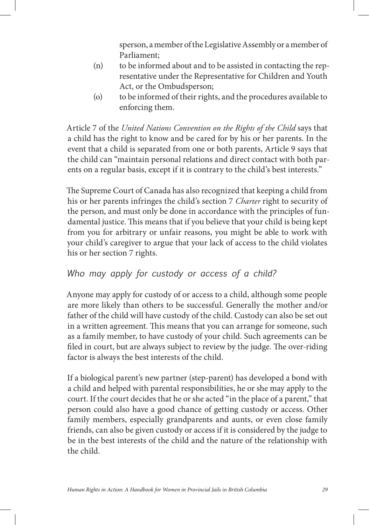sperson, a member of the Legislative Assembly or a member of Parliament;

- (n) to be informed about and to be assisted in contacting the representative under the Representative for Children and Youth Act, or the Ombudsperson;
- (o) to be informed of their rights, and the procedures available to enforcing them.

Article 7 of the *United Nations Convention on the Rights of the Child* says that a child has the right to know and be cared for by his or her parents. In the event that a child is separated from one or both parents, Article 9 says that the child can "maintain personal relations and direct contact with both parents on a regular basis, except if it is contrary to the child's best interests."

The Supreme Court of Canada has also recognized that keeping a child from his or her parents infringes the child's section 7 *Charter* right to security of the person, and must only be done in accordance with the principles of fundamental justice. This means that if you believe that your child is being kept from you for arbitrary or unfair reasons, you might be able to work with your child's caregiver to argue that your lack of access to the child violates his or her section 7 rights.

# *Who may apply for custody or access of a child?*

Anyone may apply for custody of or access to a child, although some people are more likely than others to be successful. Generally the mother and/or father of the child will have custody of the child. Custody can also be set out in a written agreement. This means that you can arrange for someone, such as a family member, to have custody of your child. Such agreements can be filed in court, but are always subject to review by the judge. The over-riding factor is always the best interests of the child.

If a biological parent's new partner (step-parent) has developed a bond with a child and helped with parental responsibilities, he or she may apply to the court. If the court decides that he or she acted "in the place of a parent," that person could also have a good chance of getting custody or access. Other family members, especially grandparents and aunts, or even close family friends, can also be given custody or access if it is considered by the judge to be in the best interests of the child and the nature of the relationship with the child.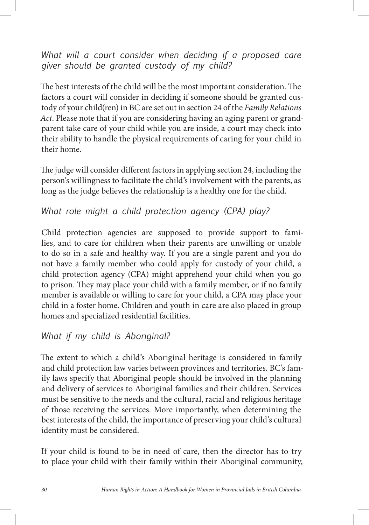*What will a court consider when deciding if a proposed care giver should be granted custody of my child?*

The best interests of the child will be the most important consideration. The factors a court will consider in deciding if someone should be granted custody of your child(ren) in BC are set out in section 24 of the *Family Relations Act*. Please note that if you are considering having an aging parent or grandparent take care of your child while you are inside, a court may check into their ability to handle the physical requirements of caring for your child in their home.

The judge will consider different factors in applying section 24, including the person's willingness to facilitate the child's involvement with the parents, as long as the judge believes the relationship is a healthy one for the child.

# *What role might a child protection agency (CPA) play?*

Child protection agencies are supposed to provide support to families, and to care for children when their parents are unwilling or unable to do so in a safe and healthy way. If you are a single parent and you do not have a family member who could apply for custody of your child, a child protection agency (CPA) might apprehend your child when you go to prison. They may place your child with a family member, or if no family member is available or willing to care for your child, a CPA may place your child in a foster home. Children and youth in care are also placed in group homes and specialized residential facilities.

# *What if my child is Aboriginal?*

The extent to which a child's Aboriginal heritage is considered in family and child protection law varies between provinces and territories. BC's family laws specify that Aboriginal people should be involved in the planning and delivery of services to Aboriginal families and their children. Services must be sensitive to the needs and the cultural, racial and religious heritage of those receiving the services. More importantly, when determining the best interests of the child, the importance of preserving your child's cultural identity must be considered.

If your child is found to be in need of care, then the director has to try to place your child with their family within their Aboriginal community,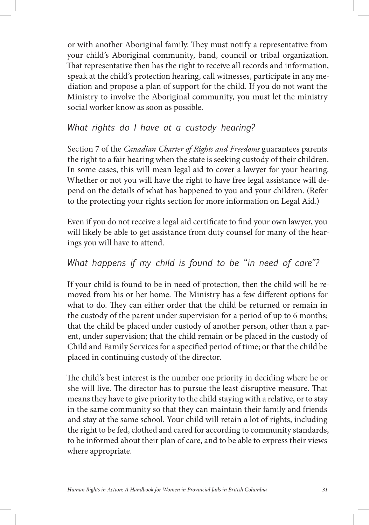or with another Aboriginal family. They must notify a representative from your child's Aboriginal community, band, council or tribal organization. That representative then has the right to receive all records and information, speak at the child's protection hearing, call witnesses, participate in any mediation and propose a plan of support for the child. If you do not want the Ministry to involve the Aboriginal community, you must let the ministry social worker know as soon as possible.

#### *What rights do I have at a custody hearing?*

Section 7 of the *Canadian Charter of Rights and Freedoms* guarantees parents the right to a fair hearing when the state is seeking custody of their children. In some cases, this will mean legal aid to cover a lawyer for your hearing. Whether or not you will have the right to have free legal assistance will depend on the details of what has happened to you and your children. (Refer to the protecting your rights section for more information on Legal Aid.)

Even if you do not receive a legal aid certificate to find your own lawyer, you will likely be able to get assistance from duty counsel for many of the hearings you will have to attend.

## *What happens if my child is found to be "in need of care"?*

If your child is found to be in need of protection, then the child will be removed from his or her home. The Ministry has a few different options for what to do. They can either order that the child be returned or remain in the custody of the parent under supervision for a period of up to 6 months; that the child be placed under custody of another person, other than a parent, under supervision; that the child remain or be placed in the custody of Child and Family Services for a specified period of time; or that the child be placed in continuing custody of the director.

The child's best interest is the number one priority in deciding where he or she will live. The director has to pursue the least disruptive measure. That means they have to give priority to the child staying with a relative, or to stay in the same community so that they can maintain their family and friends and stay at the same school. Your child will retain a lot of rights, including the right to be fed, clothed and cared for according to community standards, to be informed about their plan of care, and to be able to express their views where appropriate.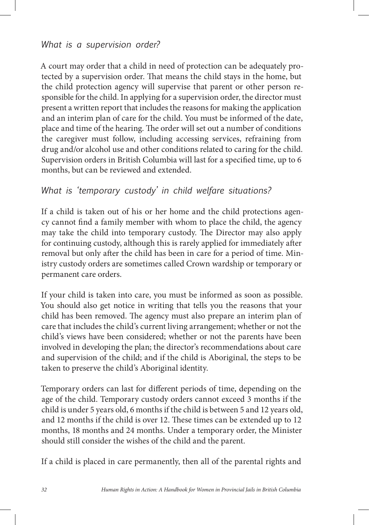#### *What is a supervision order?*

A court may order that a child in need of protection can be adequately protected by a supervision order. That means the child stays in the home, but the child protection agency will supervise that parent or other person responsible for the child. In applying for a supervision order, the director must present a written report that includes the reasons for making the application and an interim plan of care for the child. You must be informed of the date, place and time of the hearing. The order will set out a number of conditions the caregiver must follow, including accessing services, refraining from drug and/or alcohol use and other conditions related to caring for the child. Supervision orders in British Columbia will last for a specified time, up to 6 months, but can be reviewed and extended.

#### *What is 'temporary custody' in child welfare situations?*

If a child is taken out of his or her home and the child protections agency cannot find a family member with whom to place the child, the agency may take the child into temporary custody. The Director may also apply for continuing custody, although this is rarely applied for immediately after removal but only after the child has been in care for a period of time. Ministry custody orders are sometimes called Crown wardship or temporary or permanent care orders.

If your child is taken into care, you must be informed as soon as possible. You should also get notice in writing that tells you the reasons that your child has been removed. The agency must also prepare an interim plan of care that includes the child's current living arrangement; whether or not the child's views have been considered; whether or not the parents have been involved in developing the plan; the director's recommendations about care and supervision of the child; and if the child is Aboriginal, the steps to be taken to preserve the child's Aboriginal identity.

Temporary orders can last for different periods of time, depending on the age of the child. Temporary custody orders cannot exceed 3 months if the child is under 5 years old, 6 months if the child is between 5 and 12 years old, and 12 months if the child is over 12. These times can be extended up to 12 months, 18 months and 24 months. Under a temporary order, the Minister should still consider the wishes of the child and the parent.

If a child is placed in care permanently, then all of the parental rights and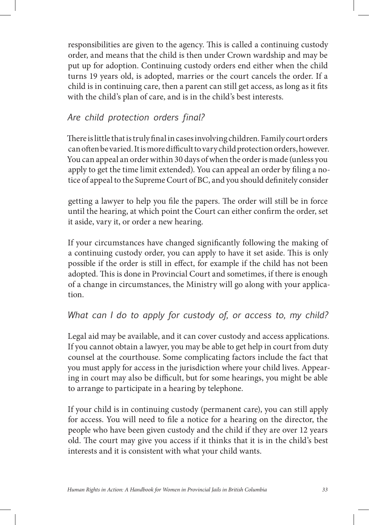responsibilities are given to the agency. This is called a continuing custody order, and means that the child is then under Crown wardship and may be put up for adoption. Continuing custody orders end either when the child turns 19 years old, is adopted, marries or the court cancels the order. If a child is in continuing care, then a parent can still get access, as long as it fits with the child's plan of care, and is in the child's best interests.

# *Are child protection orders final?*

There is little that is truly final in cases involving children. Family court orders can often be varied. It is more difficult to vary child protection orders, however. You can appeal an order within 30 days of when the order is made (unless you apply to get the time limit extended). You can appeal an order by filing a notice of appeal to the Supreme Court of BC, and you should definitely consider

getting a lawyer to help you file the papers. The order will still be in force until the hearing, at which point the Court can either confirm the order, set it aside, vary it, or order a new hearing.

If your circumstances have changed significantly following the making of a continuing custody order, you can apply to have it set aside. This is only possible if the order is still in effect, for example if the child has not been adopted. This is done in Provincial Court and sometimes, if there is enough of a change in circumstances, the Ministry will go along with your application.

### *What can I do to apply for custody of, or access to, my child?*

Legal aid may be available, and it can cover custody and access applications. If you cannot obtain a lawyer, you may be able to get help in court from duty counsel at the courthouse. Some complicating factors include the fact that you must apply for access in the jurisdiction where your child lives. Appearing in court may also be difficult, but for some hearings, you might be able to arrange to participate in a hearing by telephone.

If your child is in continuing custody (permanent care), you can still apply for access. You will need to file a notice for a hearing on the director, the people who have been given custody and the child if they are over 12 years old. The court may give you access if it thinks that it is in the child's best interests and it is consistent with what your child wants.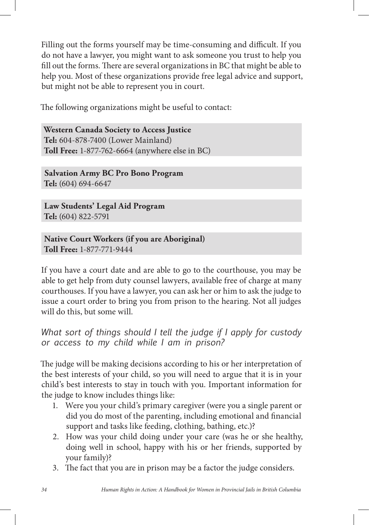Filling out the forms yourself may be time-consuming and difficult. If you do not have a lawyer, you might want to ask someone you trust to help you fill out the forms. There are several organizations in BC that might be able to help you. Most of these organizations provide free legal advice and support, but might not be able to represent you in court.

The following organizations might be useful to contact:

**Western Canada Society to Access Justice Tel:** 604-878-7400 (Lower Mainland) **Toll Free:** 1-877-762-6664 (anywhere else in BC)

**Salvation Army BC Pro Bono Program Tel:** (604) 694-6647

**Law Students' Legal Aid Program Tel:** (604) 822-5791

**Native Court Workers (if you are Aboriginal) Toll Free:** 1-877-771-9444

If you have a court date and are able to go to the courthouse, you may be able to get help from duty counsel lawyers, available free of charge at many courthouses. If you have a lawyer, you can ask her or him to ask the judge to issue a court order to bring you from prison to the hearing. Not all judges will do this, but some will.

*What sort of things should I tell the judge if I apply for custody or access to my child while I am in prison?*

The judge will be making decisions according to his or her interpretation of the best interests of your child, so you will need to argue that it is in your child's best interests to stay in touch with you. Important information for the judge to know includes things like:

- 1. Were you your child's primary caregiver (were you a single parent or did you do most of the parenting, including emotional and financial support and tasks like feeding, clothing, bathing, etc.)?
- 2. How was your child doing under your care (was he or she healthy, doing well in school, happy with his or her friends, supported by your family)?
- 3. The fact that you are in prison may be a factor the judge considers.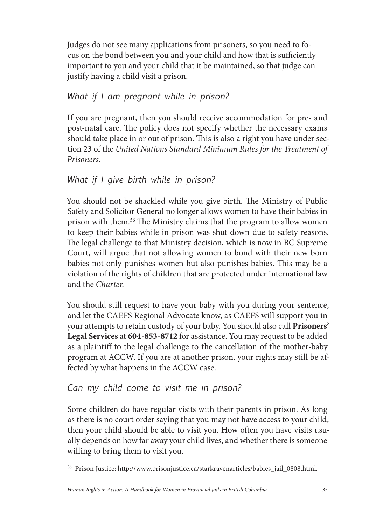Judges do not see many applications from prisoners, so you need to focus on the bond between you and your child and how that is sufficiently important to you and your child that it be maintained, so that judge can justify having a child visit a prison.

## *What if I am pregnant while in prison?*

If you are pregnant, then you should receive accommodation for pre- and post-natal care. The policy does not specify whether the necessary exams should take place in or out of prison. This is also a right you have under section 23 of the *United Nations Standard Minimum Rules for the Treatment of Prisoners*.

# *What if I give birth while in prison?*

You should not be shackled while you give birth. The Ministry of Public Safety and Solicitor General no longer allows women to have their babies in prison with them.<sup>56</sup> The Ministry claims that the program to allow women to keep their babies while in prison was shut down due to safety reasons. The legal challenge to that Ministry decision, which is now in BC Supreme Court, will argue that not allowing women to bond with their new born babies not only punishes women but also punishes babies. This may be a violation of the rights of children that are protected under international law and the *Charter*.

You should still request to have your baby with you during your sentence, and let the CAEFS Regional Advocate know, as CAEFS will support you in your attempts to retain custody of your baby. You should also call **Prisoners' Legal Services** at **604-853-8712** for assistance. You may request to be added as a plaintiff to the legal challenge to the cancellation of the mother-baby program at ACCW. If you are at another prison, your rights may still be affected by what happens in the ACCW case.

# *Can my child come to visit me in prison?*

Some children do have regular visits with their parents in prison. As long as there is no court order saying that you may not have access to your child, then your child should be able to visit you. How often you have visits usually depends on how far away your child lives, and whether there is someone willing to bring them to visit you.

<sup>56</sup> Prison Justice: http://www.prisonjustice.ca/starkravenarticles/babies\_jail\_0808.html.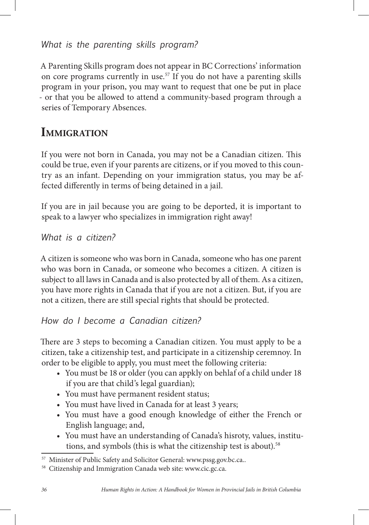# *What is the parenting skills program?*

A Parenting Skills program does not appear in BC Corrections' information on core programs currently in use.<sup>57</sup> If you do not have a parenting skills program in your prison, you may want to request that one be put in place - or that you be allowed to attend a community-based program through a series of Temporary Absences.

# **IMMIGRATION**

If you were not born in Canada, you may not be a Canadian citizen. This could be true, even if your parents are citizens, or if you moved to this country as an infant. Depending on your immigration status, you may be affected differently in terms of being detained in a jail.

If you are in jail because you are going to be deported, it is important to speak to a lawyer who specializes in immigration right away!

*What is a citizen?*

A citizen is someone who was born in Canada, someone who has one parent who was born in Canada, or someone who becomes a citizen. A citizen is subject to all laws in Canada and is also protected by all of them. As a citizen, you have more rights in Canada that if you are not a citizen. But, if you are not a citizen, there are still special rights that should be protected.

*How do I become a Canadian citizen?*

There are 3 steps to becoming a Canadian citizen. You must apply to be a citizen, take a citizenship test, and participate in a citizenship ceremnoy. In order to be eligible to apply, you must meet the following criteria:

- You must be 18 or older (you can appkly on behlaf of a child under 18 if you are that child's legal guardian);
- You must have permanent resident status;
- You must have lived in Canada for at least 3 years;
- You must have a good enough knowledge of either the French or English language; and,
- You must have an understanding of Canada's hisroty, values, institutions, and symbols (this is what the citizenship test is about).<sup>58</sup>

Minister of Public Safety and Solicitor General: www.pssg.gov.bc.ca..

<sup>58</sup> Citizenship and Immigration Canada web site: www.cic.gc.ca.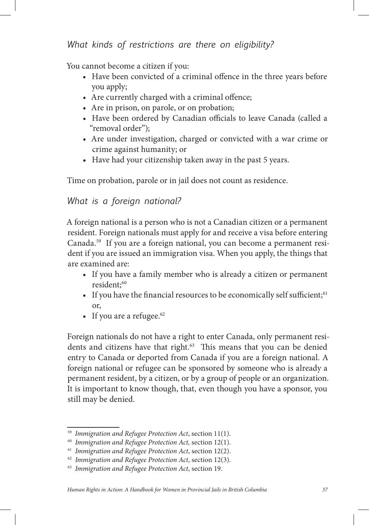## *What kinds of restrictions are there on eligibility?*

You cannot become a citizen if you:

- Have been convicted of a criminal offence in the three years before you apply;
- $\bullet$  Are currently charged with a criminal offence;
- Are in prison, on parole, or on probation;
- Have been ordered by Canadian officials to leave Canada (called a "removal order");
- Are under investigation, charged or convicted with a war crime or crime against humanity; or
- Have had your citizenship taken away in the past 5 years.

Time on probation, parole or in jail does not count as residence.

## *What is a foreign national?*

A foreign national is a person who is not a Canadian citizen or a permanent resident. Foreign nationals must apply for and receive a visa before entering Canada.59 If you are a foreign national, you can become a permanent resident if you are issued an immigration visa. When you apply, the things that are examined are:

- If you have a family member who is already a citizen or permanent resident;<sup>60</sup>
- If you have the financial resources to be economically self sufficient; $61$ or,
- If you are a refugee. $62$

Foreign nationals do not have a right to enter Canada, only permanent residents and citizens have that right.<sup>63</sup> This means that you can be denied entry to Canada or deported from Canada if you are a foreign national. A foreign national or refugee can be sponsored by someone who is already a permanent resident, by a citizen, or by a group of people or an organization. It is important to know though, that, even though you have a sponsor, you still may be denied.

<sup>59</sup> *Immigration and Refugee Protection Act*, section 11(1).

<sup>60</sup> *Immigration and Refugee Protection Act,* section 12(1).

<sup>61</sup> *Immigration and Refugee Protection Act*, section 12(2).

<sup>62</sup> *Immigration and Refugee Protection Act*, section 12(3).

<sup>63</sup> *Immigration and Refugee Protection Act*, section 19.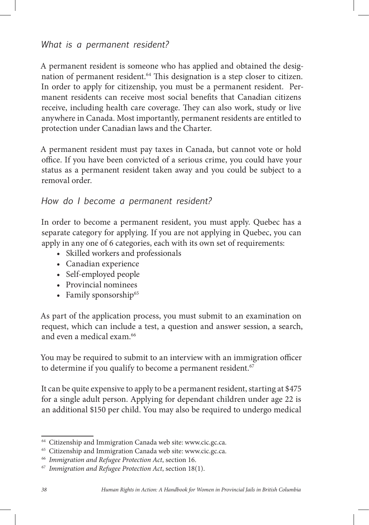A permanent resident is someone who has applied and obtained the designation of permanent resident.<sup>64</sup> This designation is a step closer to citizen. In order to apply for citizenship, you must be a permanent resident. Permanent residents can receive most social benefits that Canadian citizens receive, including health care coverage. They can also work, study or live anywhere in Canada. Most importantly, permanent residents are entitled to protection under Canadian laws and the Charter.

A permanent resident must pay taxes in Canada, but cannot vote or hold office. If you have been convicted of a serious crime, you could have your status as a permanent resident taken away and you could be subject to a removal order.

## *How do I become a permanent resident?*

In order to become a permanent resident, you must apply. Quebec has a separate category for applying. If you are not applying in Quebec, you can apply in any one of 6 categories, each with its own set of requirements:

- Skilled workers and professionals
- • Canadian experience
- Self-employed people
- • Provincial nominees
- Family sponsorship $65$

As part of the application process, you must submit to an examination on request, which can include a test, a question and answer session, a search, and even a medical exam.66

You may be required to submit to an interview with an immigration officer to determine if you qualify to become a permanent resident.<sup>67</sup>

It can be quite expensive to apply to be a permanent resident, starting at \$475 for a single adult person. Applying for dependant children under age 22 is an additional \$150 per child. You may also be required to undergo medical

<sup>64</sup> Citizenship and Immigration Canada web site: www.cic.gc.ca.

<sup>&</sup>lt;sup>65</sup> Citizenship and Immigration Canada web site: www.cic.gc.ca.

<sup>66</sup> *Immigration and Refugee Protection Act*, section 16.

<sup>67</sup> *Immigration and Refugee Protection Act*, section 18(1).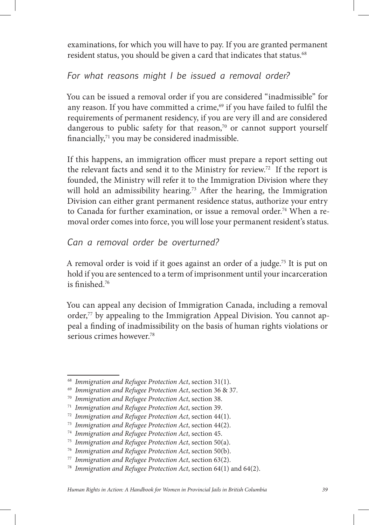examinations, for which you will have to pay. If you are granted permanent resident status, you should be given a card that indicates that status.<sup>68</sup>

## *For what reasons might I be issued a removal order?*

You can be issued a removal order if you are considered "inadmissible" for any reason. If you have committed a crime,<sup>69</sup> if you have failed to fulfil the requirements of permanent residency, if you are very ill and are considered dangerous to public safety for that reason,<sup>70</sup> or cannot support yourself financially, $71$  you may be considered inadmissible.

If this happens, an immigration officer must prepare a report setting out the relevant facts and send it to the Ministry for review.72 If the report is founded, the Ministry will refer it to the Immigration Division where they will hold an admissibility hearing.<sup>73</sup> After the hearing, the Immigration Division can either grant permanent residence status, authorize your entry to Canada for further examination, or issue a removal order.<sup>74</sup> When a removal order comes into force, you will lose your permanent resident's status.

## *Can a removal order be overturned?*

A removal order is void if it goes against an order of a judge.75 It is put on hold if you are sentenced to a term of imprisonment until your incarceration is finished. $76$ 

You can appeal any decision of Immigration Canada, including a removal order,<sup>77</sup> by appealing to the Immigration Appeal Division. You cannot appeal a finding of inadmissibility on the basis of human rights violations or serious crimes however.<sup>78</sup>

<sup>68</sup> *Immigration and Refugee Protection Act*, section 31(1).

<sup>69</sup> *Immigration and Refugee Protection Act*, section 36 & 37.

<sup>70</sup> *Immigration and Refugee Protection Act*, section 38.

<sup>71</sup> *Immigration and Refugee Protection Act*, section 39.

<sup>72</sup> *Immigration and Refugee Protection Act*, section 44(1).

<sup>73</sup> *Immigration and Refugee Protection Act*, section 44(2).

<sup>74</sup> *Immigration and Refugee Protection Act*, section 45.

<sup>75</sup> *Immigration and Refugee Protection Act*, section 50(a).

<sup>76</sup> *Immigration and Refugee Protection Act*, section 50(b).

<sup>77</sup> *Immigration and Refugee Protection Act*, section 63(2).

<sup>78</sup> *Immigration and Refugee Protection Act*, section 64(1) and 64(2).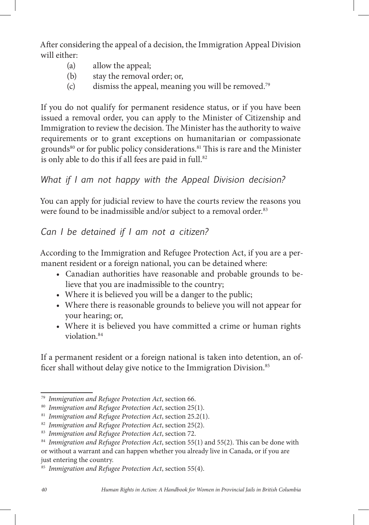A er considering the appeal of a decision, the Immigration Appeal Division will either:

- (a) allow the appeal;
- (b) stay the removal order; or,
- (c) dismiss the appeal, meaning you will be removed.<sup>79</sup>

If you do not qualify for permanent residence status, or if you have been issued a removal order, you can apply to the Minister of Citizenship and Immigration to review the decision. The Minister has the authority to waive requirements or to grant exceptions on humanitarian or compassionate grounds<sup>80</sup> or for public policy considerations.<sup>81</sup> This is rare and the Minister is only able to do this if all fees are paid in full.<sup>82</sup>

## *What if I am not happy with the Appeal Division decision?*

You can apply for judicial review to have the courts review the reasons you were found to be inadmissible and/or subject to a removal order.<sup>83</sup>

## *Can I be detained if I am not a citizen?*

According to the Immigration and Refugee Protection Act, if you are a permanent resident or a foreign national, you can be detained where:

- • Canadian authorities have reasonable and probable grounds to believe that you are inadmissible to the country;
- Where it is believed you will be a danger to the public;
- Where there is reasonable grounds to believe you will not appear for your hearing; or,
- Where it is believed you have committed a crime or human rights violation.84

If a permanent resident or a foreign national is taken into detention, an of ficer shall without delay give notice to the Immigration Division.<sup>85</sup>

<sup>79</sup> *Immigration and Refugee Protection Act*, section 66.

<sup>80</sup> *Immigration and Refugee Protection Act*, section 25(1).

<sup>81</sup> *Immigration and Refugee Protection Act*, section 25.2(1).

<sup>82</sup> *Immigration and Refugee Protection Act*, section 25(2).

<sup>83</sup> *Immigration and Refugee Protection Act*, section 72.

<sup>&</sup>lt;sup>84</sup> Immigration and Refugee Protection Act, section 55(1) and 55(2). This can be done with or without a warrant and can happen whether you already live in Canada, or if you are just entering the country.

<sup>85</sup> *Immigration and Refugee Protection Act*, section 55(4).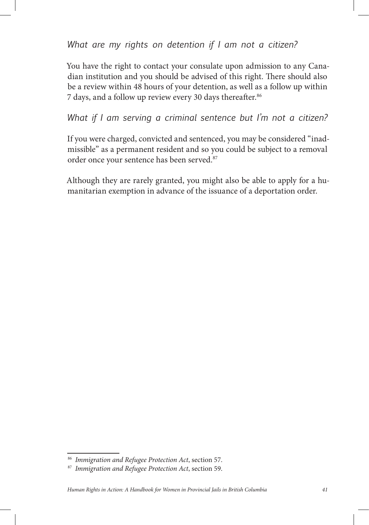*What are my rights on detention if I am not a citizen?*

You have the right to contact your consulate upon admission to any Canadian institution and you should be advised of this right. There should also be a review within 48 hours of your detention, as well as a follow up within 7 days, and a follow up review every 30 days thereafter.<sup>86</sup>

*What if I am serving a criminal sentence but I'm not a citizen?*

If you were charged, convicted and sentenced, you may be considered "inadmissible" as a permanent resident and so you could be subject to a removal order once your sentence has been served.<sup>87</sup>

Although they are rarely granted, you might also be able to apply for a humanitarian exemption in advance of the issuance of a deportation order.

<sup>86</sup> *Immigration and Refugee Protection Act*, section 57.

<sup>87</sup> *Immigration and Refugee Protection Act*, section 59.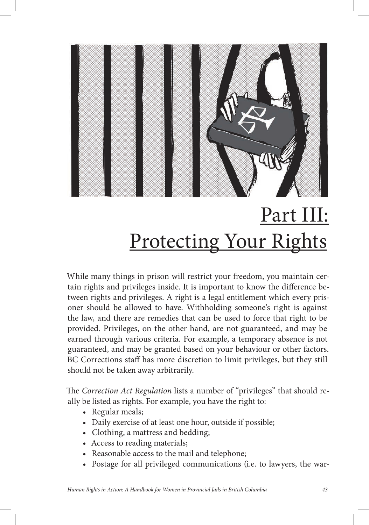

# Part III: Protecting Your Rights

While many things in prison will restrict your freedom, you maintain certain rights and privileges inside. It is important to know the difference between rights and privileges. A right is a legal entitlement which every prisoner should be allowed to have. Withholding someone's right is against the law, and there are remedies that can be used to force that right to be provided. Privileges, on the other hand, are not guaranteed, and may be earned through various criteria. For example, a temporary absence is not guaranteed, and may be granted based on your behaviour or other factors. BC Corrections staff has more discretion to limit privileges, but they still should not be taken away arbitrarily.

e *Correction Act Regulation* lists a number of "privileges" that should really be listed as rights. For example, you have the right to:

- Regular meals;
- Daily exercise of at least one hour, outside if possible;
- • Clothing, a mattress and bedding;
- Access to reading materials;
- Reasonable access to the mail and telephone;
- Postage for all privileged communications (i.e. to lawyers, the war-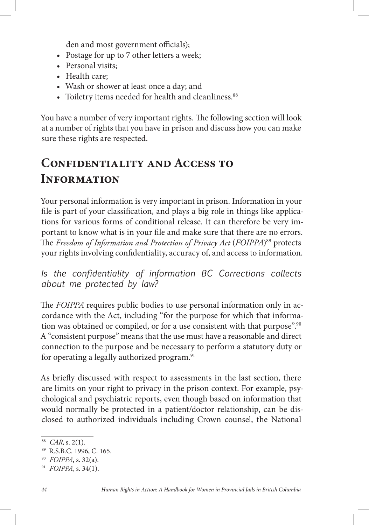den and most government officials);

- Postage for up to 7 other letters a week;
- Personal visits;
- Health care:
- Wash or shower at least once a day; and
- Toiletry items needed for health and cleanliness.<sup>88</sup>

You have a number of very important rights. The following section will look at a number of rights that you have in prison and discuss how you can make sure these rights are respected.

# **Confidentiality and Access to Information**

Your personal information is very important in prison. Information in your file is part of your classification, and plays a big role in things like applications for various forms of conditional release. It can therefore be very important to know what is in your file and make sure that there are no errors. The *Freedom of Information and Protection of Privacy Act* (*FOIPPA*)<sup>89</sup> protects your rights involving confidentiality, accuracy of, and access to information.

*Is the confidentiality of information BC Corrections collects about me protected by law?*

The *FOIPPA* requires public bodies to use personal information only in accordance with the Act, including "for the purpose for which that information was obtained or compiled, or for a use consistent with that purpose".<sup>90</sup> A "consistent purpose" means that the use must have a reasonable and direct connection to the purpose and be necessary to perform a statutory duty or for operating a legally authorized program.<sup>91</sup>

As briefly discussed with respect to assessments in the last section, there are limits on your right to privacy in the prison context. For example, psychological and psychiatric reports, even though based on information that would normally be protected in a patient/doctor relationship, can be disclosed to authorized individuals including Crown counsel, the National

<sup>88</sup> *CAR*, s. 2(1).

<sup>89</sup> R.S.B.C. 1996, C. 165.

<sup>90</sup> *FOIPPA*, s. 32(a).

<sup>91</sup> *FOIPPA*, s. 34(1).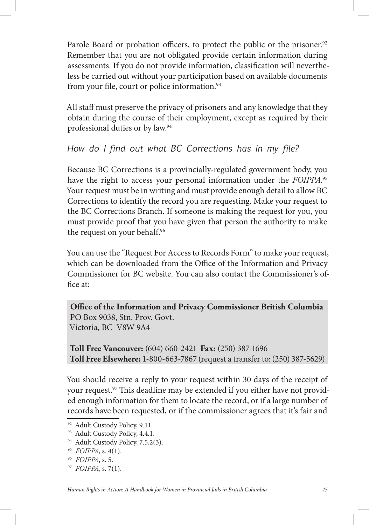Parole Board or probation officers, to protect the public or the prisoner.<sup>92</sup> Remember that you are not obligated provide certain information during assessments. If you do not provide information, classification will nevertheless be carried out without your participation based on available documents from your file, court or police information.<sup>93</sup>

All staff must preserve the privacy of prisoners and any knowledge that they obtain during the course of their employment, except as required by their professional duties or by law.94

## *How do I find out what BC Corrections has in my file?*

Because BC Corrections is a provincially-regulated government body, you have the right to access your personal information under the *FOIPPA*. 95 Your request must be in writing and must provide enough detail to allow BC Corrections to identify the record you are requesting. Make your request to the BC Corrections Branch. If someone is making the request for you, you must provide proof that you have given that person the authority to make the request on your behalf.<sup>96</sup>

You can use the "Request For Access to Records Form" to make your request, which can be downloaded from the Office of the Information and Privacy Commissioner for BC website. You can also contact the Commissioner's of fice at:

**Office of the Information and Privacy Commissioner British Columbia** PO Box 9038, Stn. Prov. Govt. Victoria, BC V8W 9A4

**Toll Free Vancouver:** (604) 660-2421 **Fax:** (250) 387-1696 **Toll Free Elsewhere:** 1-800-663-7867 (request a transfer to: (250) 387-5629)

You should receive a reply to your request within 30 days of the receipt of your request.<sup>97</sup> This deadline may be extended if you either have not provided enough information for them to locate the record, or if a large number of records have been requested, or if the commissioner agrees that it's fair and

<sup>92</sup> Adult Custody Policy, 9.11.

<sup>93</sup> Adult Custody Policy, 4.4.1.

<sup>&</sup>lt;sup>94</sup> Adult Custody Policy, 7.5.2(3).

<sup>95</sup> *FOIPPA*, s. 4(1).

<sup>96</sup> *FOIPPA*, s. 5.

<sup>97</sup> *FOIPPA*, s. 7(1).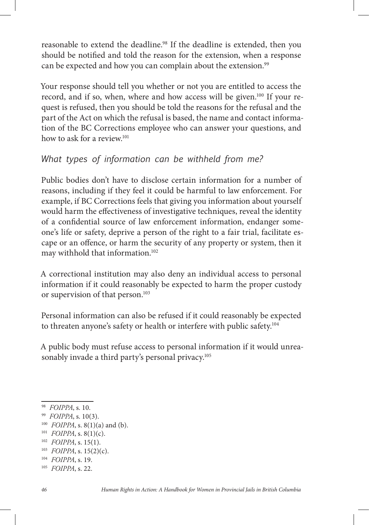reasonable to extend the deadline.98 If the deadline is extended, then you should be notified and told the reason for the extension, when a response can be expected and how you can complain about the extension.<sup>99</sup>

Your response should tell you whether or not you are entitled to access the record, and if so, when, where and how access will be given.<sup>100</sup> If your request is refused, then you should be told the reasons for the refusal and the part of the Act on which the refusal is based, the name and contact information of the BC Corrections employee who can answer your questions, and how to ask for a review.<sup>101</sup>

## *What types of information can be withheld from me?*

Public bodies don't have to disclose certain information for a number of reasons, including if they feel it could be harmful to law enforcement. For example, if BC Corrections feels that giving you information about yourself would harm the effectiveness of investigative techniques, reveal the identity of a confidential source of law enforcement information, endanger someone's life or safety, deprive a person of the right to a fair trial, facilitate escape or an offence, or harm the security of any property or system, then it may withhold that information.102

A correctional institution may also deny an individual access to personal information if it could reasonably be expected to harm the proper custody or supervision of that person.<sup>103</sup>

Personal information can also be refused if it could reasonably be expected to threaten anyone's safety or health or interfere with public safety.104

A public body must refuse access to personal information if it would unreasonably invade a third party's personal privacy.<sup>105</sup>

<sup>98</sup> *FOIPPA*, s. 10.

<sup>99</sup> *FOIPPA*, s. 10(3).

<sup>100</sup> *FOIPPA*, s. 8(1)(a) and (b).

<sup>101</sup> *FOIPPA*, s. 8(1)(c).

<sup>102</sup> *FOIPPA*, s. 15(1).

<sup>103</sup> *FOIPPA*, s. 15(2)(c).

<sup>104</sup> *FOIPPA*, s. 19.

<sup>105</sup> *FOIPPA*, s. 22.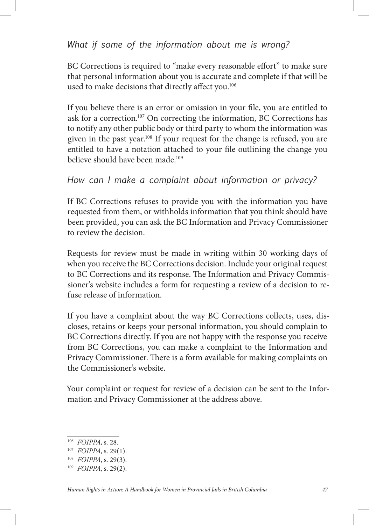## *What if some of the information about me is wrong?*

BC Corrections is required to "make every reasonable effort" to make sure that personal information about you is accurate and complete if that will be used to make decisions that directly affect you.<sup>106</sup>

If you believe there is an error or omission in your file, you are entitled to ask for a correction.107 On correcting the information, BC Corrections has to notify any other public body or third party to whom the information was given in the past year.108 If your request for the change is refused, you are entitled to have a notation attached to your file outlining the change you believe should have been made.109

## *How can I make a complaint about information or privacy?*

If BC Corrections refuses to provide you with the information you have requested from them, or withholds information that you think should have been provided, you can ask the BC Information and Privacy Commissioner to review the decision.

Requests for review must be made in writing within 30 working days of when you receive the BC Corrections decision. Include your original request to BC Corrections and its response. The Information and Privacy Commissioner's website includes a form for requesting a review of a decision to refuse release of information.

If you have a complaint about the way BC Corrections collects, uses, discloses, retains or keeps your personal information, you should complain to BC Corrections directly. If you are not happy with the response you receive from BC Corrections, you can make a complaint to the Information and Privacy Commissioner. There is a form available for making complaints on the Commissioner's website.

Your complaint or request for review of a decision can be sent to the Information and Privacy Commissioner at the address above.

<sup>106</sup> *FOIPPA*, s. 28.

<sup>107</sup> *FOIPPA*, s. 29(1).

<sup>108</sup> *FOIPPA*, s. 29(3).

<sup>109</sup> *FOIPPA*, s. 29(2).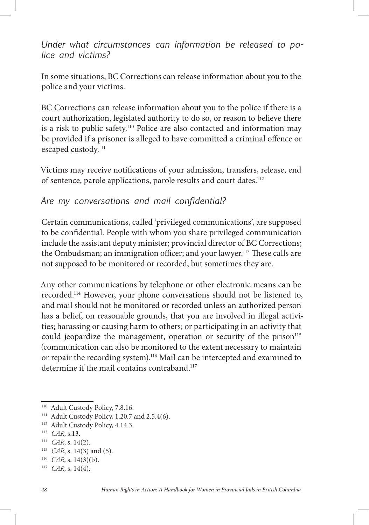## *Under what circumstances can information be released to police and victims?*

In some situations, BC Corrections can release information about you to the police and your victims.

BC Corrections can release information about you to the police if there is a court authorization, legislated authority to do so, or reason to believe there is a risk to public safety.110 Police are also contacted and information may be provided if a prisoner is alleged to have committed a criminal offence or escaped custody.<sup>111</sup>

Victims may receive notifications of your admission, transfers, release, end of sentence, parole applications, parole results and court dates.<sup>112</sup>

## *Are my conversations and mail confidential?*

Certain communications, called 'privileged communications', are supposed to be confidential. People with whom you share privileged communication include the assistant deputy minister; provincial director of BC Corrections; the Ombudsman; an immigration officer; and your lawyer.<sup>113</sup> These calls are not supposed to be monitored or recorded, but sometimes they are.

Any other communications by telephone or other electronic means can be recorded.114 However, your phone conversations should not be listened to, and mail should not be monitored or recorded unless an authorized person has a belief, on reasonable grounds, that you are involved in illegal activities; harassing or causing harm to others; or participating in an activity that could jeopardize the management, operation or security of the prison<sup>115</sup> (communication can also be monitored to the extent necessary to maintain or repair the recording system).<sup>116</sup> Mail can be intercepted and examined to determine if the mail contains contraband.<sup>117</sup>

<sup>&</sup>lt;sup>110</sup> Adult Custody Policy, 7.8.16.

<sup>&</sup>lt;sup>111</sup> Adult Custody Policy, 1.20.7 and 2.5.4(6).

<sup>112</sup> Adult Custody Policy, 4.14.3.

<sup>113</sup> *CAR*, s.13.

<sup>114</sup> *CAR*, s. 14(2).

<sup>115</sup> *CAR*, s. 14(3) and (5).

<sup>116</sup> *CAR*, s. 14(3)(b).

<sup>117</sup> *CAR*, s. 14(4).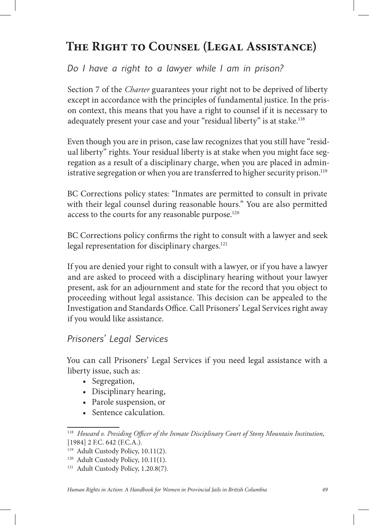# **The Right to Counsel (Legal Assistance)**

*Do I have a right to a lawyer while I am in prison?* 

Section 7 of the *Charter* guarantees your right not to be deprived of liberty except in accordance with the principles of fundamental justice. In the prison context, this means that you have a right to counsel if it is necessary to adequately present your case and your "residual liberty" is at stake.<sup>118</sup>

Even though you are in prison, case law recognizes that you still have "residual liberty" rights. Your residual liberty is at stake when you might face segregation as a result of a disciplinary charge, when you are placed in administrative segregation or when you are transferred to higher security prison.<sup>119</sup>

BC Corrections policy states: "Inmates are permitted to consult in private with their legal counsel during reasonable hours." You are also permitted access to the courts for any reasonable purpose.<sup>120</sup>

BC Corrections policy confirms the right to consult with a lawyer and seek legal representation for disciplinary charges.<sup>121</sup>

If you are denied your right to consult with a lawyer, or if you have a lawyer and are asked to proceed with a disciplinary hearing without your lawyer present, ask for an adjournment and state for the record that you object to proceeding without legal assistance. This decision can be appealed to the Investigation and Standards Office. Call Prisoners' Legal Services right away if you would like assistance.

#### *Prisoners' Legal Services*

You can call Prisoners' Legal Services if you need legal assistance with a liberty issue, such as:

- Segregation,
- Disciplinary hearing,
- • Parole suspension, or
- Sentence calculation.

<sup>&</sup>lt;sup>118</sup> Howard v. Presiding Officer of the Inmate Disciplinary Court of Stony Mountain Institution, [1984] 2 F.C. 642 (F.C.A.).

<sup>&</sup>lt;sup>119</sup> Adult Custody Policy, 10.11(2).

<sup>&</sup>lt;sup>120</sup> Adult Custody Policy, 10.11(1).

<sup>&</sup>lt;sup>121</sup> Adult Custody Policy, 1.20.8(7).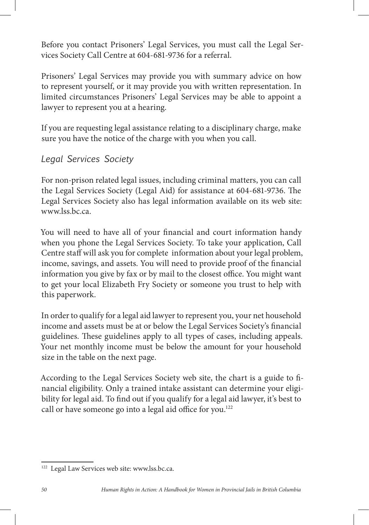Before you contact Prisoners' Legal Services, you must call the Legal Services Society Call Centre at 604-681-9736 for a referral.

Prisoners' Legal Services may provide you with summary advice on how to represent yourself, or it may provide you with written representation. In limited circumstances Prisoners' Legal Services may be able to appoint a lawyer to represent you at a hearing.

If you are requesting legal assistance relating to a disciplinary charge, make sure you have the notice of the charge with you when you call.

## *Legal Services Society*

For non-prison related legal issues, including criminal matters, you can call the Legal Services Society (Legal Aid) for assistance at 604-681-9736. The Legal Services Society also has legal information available on its web site: www.lss.bc.ca.

You will need to have all of your financial and court information handy when you phone the Legal Services Society. To take your application, Call Centre staff will ask you for complete information about your legal problem, income, savings, and assets. You will need to provide proof of the financial information you give by fax or by mail to the closest office. You might want to get your local Elizabeth Fry Society or someone you trust to help with this paperwork.

In order to qualify for a legal aid lawyer to represent you, your net household income and assets must be at or below the Legal Services Society's financial guidelines. These guidelines apply to all types of cases, including appeals. Your net monthly income must be below the amount for your household size in the table on the next page.

According to the Legal Services Society web site, the chart is a guide to financial eligibility. Only a trained intake assistant can determine your eligibility for legal aid. To find out if you qualify for a legal aid lawyer, it's best to call or have someone go into a legal aid office for you.<sup>122</sup>

<sup>122</sup> Legal Law Services web site: www.lss.bc.ca.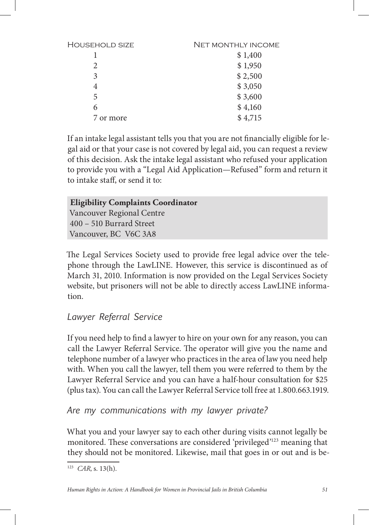| <b>HOUSEHOLD SIZE</b> | <b>NET MONTHLY INCOME</b> |
|-----------------------|---------------------------|
|                       | \$1,400                   |
| $\mathcal{D}_{\cdot}$ | \$1,950                   |
| 3                     | \$2,500                   |
| 4                     | \$3,050                   |
| 5                     | \$3,600                   |
| 6                     | \$4,160                   |
| 7 or more             | \$4,715                   |
|                       |                           |

If an intake legal assistant tells you that you are not financially eligible for legal aid or that your case is not covered by legal aid, you can request a review of this decision. Ask the intake legal assistant who refused your application to provide you with a "Legal Aid Application—Refused" form and return it to intake staff, or send it to:

## **Eligibility Complaints Coordinator**

Vancouver Regional Centre 400 – 510 Burrard Street Vancouver, BC V6C 3A8

The Legal Services Society used to provide free legal advice over the telephone through the LawLINE. However, this service is discontinued as of March 31, 2010. Information is now provided on the Legal Services Society website, but prisoners will not be able to directly access LawLINE information.

## *Lawyer Referral Service*

If you need help to find a lawyer to hire on your own for any reason, you can call the Lawyer Referral Service. The operator will give you the name and telephone number of a lawyer who practices in the area of law you need help with. When you call the lawyer, tell them you were referred to them by the Lawyer Referral Service and you can have a half-hour consultation for \$25 (plus tax). You can call the Lawyer Referral Service toll free at 1.800.663.1919.

#### *Are my communications with my lawyer private?*

What you and your lawyer say to each other during visits cannot legally be monitored. These conversations are considered 'privileged'<sup>123</sup> meaning that they should not be monitored. Likewise, mail that goes in or out and is be-

<sup>123</sup> *CAR*, s. 13(h).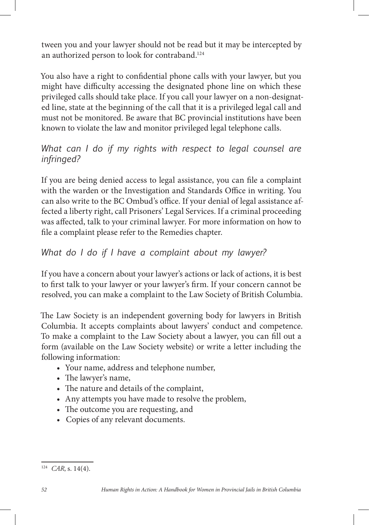tween you and your lawyer should not be read but it may be intercepted by an authorized person to look for contraband.<sup>124</sup>

You also have a right to confidential phone calls with your lawyer, but you might have difficulty accessing the designated phone line on which these privileged calls should take place. If you call your lawyer on a non-designated line, state at the beginning of the call that it is a privileged legal call and must not be monitored. Be aware that BC provincial institutions have been known to violate the law and monitor privileged legal telephone calls.

#### *What can I do if my rights with respect to legal counsel are infringed?*

If you are being denied access to legal assistance, you can file a complaint with the warden or the Investigation and Standards Office in writing. You can also write to the BC Ombud's office. If your denial of legal assistance affected a liberty right, call Prisoners' Legal Services. If a criminal proceeding was affected, talk to your criminal lawyer. For more information on how to file a complaint please refer to the Remedies chapter.

## *What do I do if I have a complaint about my lawyer?*

If you have a concern about your lawyer's actions or lack of actions, it is best to first talk to your lawyer or your lawyer's firm. If your concern cannot be resolved, you can make a complaint to the Law Society of British Columbia.

The Law Society is an independent governing body for lawyers in British Columbia. It accepts complaints about lawyers' conduct and competence. To make a complaint to the Law Society about a lawyer, you can fill out a form (available on the Law Society website) or write a letter including the following information:

- • Your name, address and telephone number,
- The lawyer's name,
- The nature and details of the complaint,
- Any attempts you have made to resolve the problem,
- The outcome you are requesting, and
- Copies of any relevant documents.

<sup>124</sup> *CAR*, s. 14(4).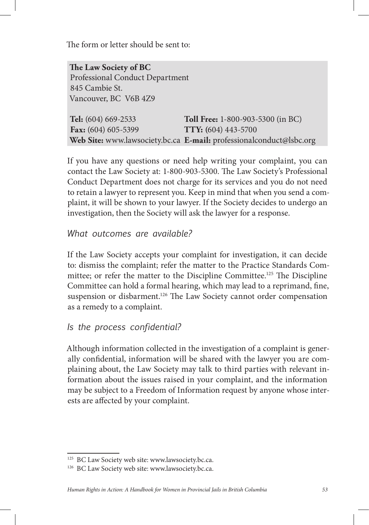The form or letter should be sent to:

**e Law Society of BC**  Professional Conduct Department 845 Cambie St. Vancouver, BC V6B 4Z9

| Tel: (604) 669-2533   | <b>Toll Free:</b> 1-800-903-5300 (in BC)                            |
|-----------------------|---------------------------------------------------------------------|
| Fax: $(604)$ 605-5399 | <b>TTY:</b> (604) 443-5700                                          |
|                       | Web Site: www.lawsociety.bc.ca E-mail: professionalconduct@lsbc.org |

If you have any questions or need help writing your complaint, you can contact the Law Society at: 1-800-903-5300. The Law Society's Professional Conduct Department does not charge for its services and you do not need to retain a lawyer to represent you. Keep in mind that when you send a complaint, it will be shown to your lawyer. If the Society decides to undergo an investigation, then the Society will ask the lawyer for a response.

## *What outcomes are available?*

If the Law Society accepts your complaint for investigation, it can decide to: dismiss the complaint; refer the matter to the Practice Standards Committee; or refer the matter to the Discipline Committee.<sup>125</sup> The Discipline Committee can hold a formal hearing, which may lead to a reprimand, fine, suspension or disbarment.<sup>126</sup> The Law Society cannot order compensation as a remedy to a complaint.

## *Is the process confidential?*

Although information collected in the investigation of a complaint is generally confidential, information will be shared with the lawyer you are complaining about, the Law Society may talk to third parties with relevant information about the issues raised in your complaint, and the information may be subject to a Freedom of Information request by anyone whose interests are affected by your complaint.

<sup>125</sup> BC Law Society web site: www.lawsociety.bc.ca.

<sup>&</sup>lt;sup>126</sup> BC Law Society web site: www.lawsociety.bc.ca.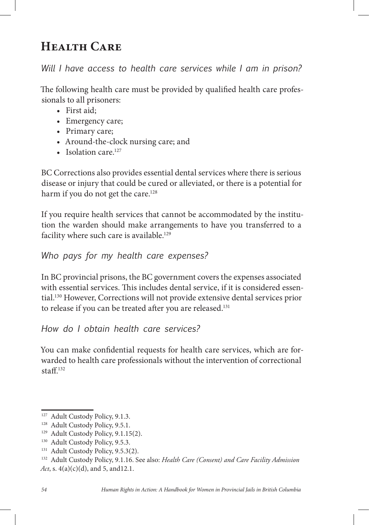# **Health Care**

## *Will I have access to health care services while I am in prison?*

The following health care must be provided by qualified health care professionals to all prisoners:

- • First aid;
- Emergency care;
- Primary care;
- Around-the-clock nursing care; and
- Isolation care. $127$

BC Corrections also provides essential dental services where there is serious disease or injury that could be cured or alleviated, or there is a potential for harm if you do not get the care.<sup>128</sup>

If you require health services that cannot be accommodated by the institution the warden should make arrangements to have you transferred to a facility where such care is available.<sup>129</sup>

## *Who pays for my health care expenses?*

In BC provincial prisons, the BC government covers the expenses associated with essential services. This includes dental service, if it is considered essential.130 However, Corrections will not provide extensive dental services prior to release if you can be treated after you are released.<sup>131</sup>

*How do I obtain health care services?* 

You can make confidential requests for health care services, which are forwarded to health care professionals without the intervention of correctional  $statf$ <sup>132</sup>

<sup>&</sup>lt;sup>127</sup> Adult Custody Policy, 9.1.3.

<sup>&</sup>lt;sup>128</sup> Adult Custody Policy, 9.5.1.

<sup>&</sup>lt;sup>129</sup> Adult Custody Policy, 9.1.15(2).

<sup>&</sup>lt;sup>130</sup> Adult Custody Policy, 9.5.3.

<sup>&</sup>lt;sup>131</sup> Adult Custody Policy, 9.5.3(2).

<sup>132</sup> Adult Custody Policy, 9.1.16. See also: *Health Care (Consent) and Care Facility Admission Act*, s. 4(a)(c)(d), and 5, and 12.1.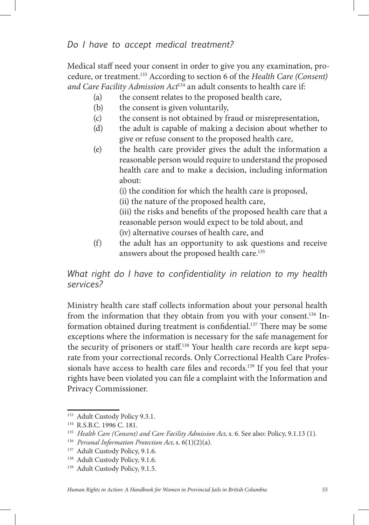Medical staff need your consent in order to give you any examination, procedure, or treatment.133 According to section 6 of the *Health Care (Consent) and Care Facility Admission Act*134 an adult consents to health care if:

- (a) the consent relates to the proposed health care,
- (b) the consent is given voluntarily,
- (c) the consent is not obtained by fraud or misrepresentation,
- (d) the adult is capable of making a decision about whether to give or refuse consent to the proposed health care,
- (e) the health care provider gives the adult the information a reasonable person would require to understand the proposed health care and to make a decision, including information about:
	- (i) the condition for which the health care is proposed,
	- (ii) the nature of the proposed health care,

(iii) the risks and benefits of the proposed health care that a reasonable person would expect to be told about, and (iv) alternative courses of health care, and

(f) the adult has an opportunity to ask questions and receive answers about the proposed health care.<sup>135</sup>

*What right do I have to confidentiality in relation to my health services?* 

Ministry health care staff collects information about your personal health from the information that they obtain from you with your consent.136 Information obtained during treatment is confidential.<sup>137</sup> There may be some exceptions where the information is necessary for the safe management for the security of prisoners or staff.<sup>138</sup> Your health care records are kept separate from your correctional records. Only Correctional Health Care Professionals have access to health care files and records.<sup>139</sup> If you feel that your rights have been violated you can file a complaint with the Information and Privacy Commissioner.

<sup>&</sup>lt;sup>133</sup> Adult Custody Policy 9.3.1.

<sup>134</sup> R.S.B.C. 1996 C. 181.

<sup>135</sup> *Health Care (Consent) and Care Facility Admission Act*, s. 6. See also: Policy, 9.1.13 (1).

<sup>136</sup> *Personal Information Protection Act*, s. 6(1)(2)(a).

<sup>&</sup>lt;sup>137</sup> Adult Custody Policy, 9.1.6.

<sup>&</sup>lt;sup>138</sup> Adult Custody Policy, 9.1.6.

<sup>&</sup>lt;sup>139</sup> Adult Custody Policy, 9.1.5.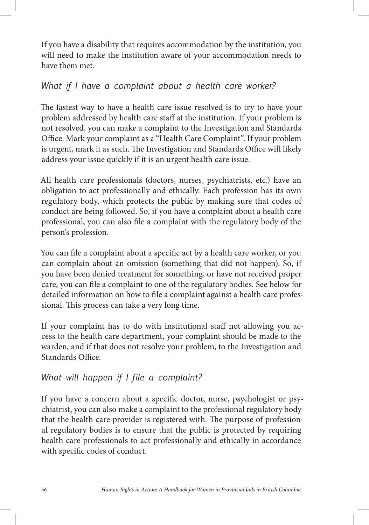If you have a disability that requires accommodation by the institution, you will need to make the institution aware of your accommodation needs to have them met.

## *What if I have a complaint about a health care worker?*

The fastest way to have a health care issue resolved is to try to have your problem addressed by health care staff at the institution. If your problem is not resolved, you can make a complaint to the Investigation and Standards Office. Mark your complaint as a "Health Care Complaint". If your problem is urgent, mark it as such. The Investigation and Standards Office will likely address your issue quickly if it is an urgent health care issue.

All health care professionals (doctors, nurses, psychiatrists, etc.) have an obligation to act professionally and ethically. Each profession has its own regulatory body, which protects the public by making sure that codes of conduct are being followed. So, if you have a complaint about a health care professional, you can also file a complaint with the regulatory body of the person's profession.

You can file a complaint about a specific act by a health care worker, or you can complain about an omission (something that did not happen). So, if you have been denied treatment for something, or have not received proper care, you can file a complaint to one of the regulatory bodies. See below for detailed information on how to file a complaint against a health care professional. This process can take a very long time.

If your complaint has to do with institutional staff not allowing you access to the health care department, your complaint should be made to the warden, and if that does not resolve your problem, to the Investigation and Standards Office.

## *What will happen if I file a complaint?*

If you have a concern about a specific doctor, nurse, psychologist or psychiatrist, you can also make a complaint to the professional regulatory body that the health care provider is registered with. The purpose of professional regulatory bodies is to ensure that the public is protected by requiring health care professionals to act professionally and ethically in accordance with specific codes of conduct.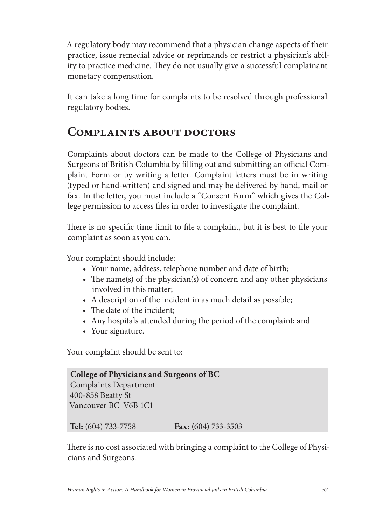A regulatory body may recommend that a physician change aspects of their practice, issue remedial advice or reprimands or restrict a physician's ability to practice medicine. They do not usually give a successful complainant monetary compensation.

It can take a long time for complaints to be resolved through professional regulatory bodies.

## **Complaints about doctors**

Complaints about doctors can be made to the College of Physicians and Surgeons of British Columbia by filling out and submitting an official Complaint Form or by writing a letter. Complaint letters must be in writing (typed or hand-written) and signed and may be delivered by hand, mail or fax. In the letter, you must include a "Consent Form" which gives the College permission to access files in order to investigate the complaint.

There is no specific time limit to file a complaint, but it is best to file your complaint as soon as you can.

Your complaint should include:

- Your name, address, telephone number and date of birth;
- The name(s) of the physician(s) of concern and any other physicians involved in this matter;
- A description of the incident in as much detail as possible;
- The date of the incident;
- Any hospitals attended during the period of the complaint; and
- Your signature.

Your complaint should be sent to:

**College of Physicians and Surgeons of BC** Complaints Department 400-858 Beatty St Vancouver BC V6B 1C1

**Tel:** (604) 733-7758 **Fax:** (604) 733-3503

There is no cost associated with bringing a complaint to the College of Physicians and Surgeons.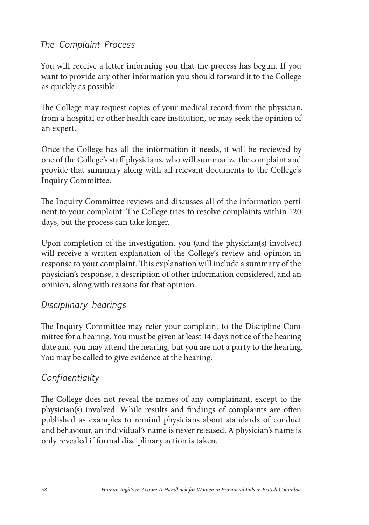## *The Complaint Process*

You will receive a letter informing you that the process has begun. If you want to provide any other information you should forward it to the College as quickly as possible.

The College may request copies of your medical record from the physician, from a hospital or other health care institution, or may seek the opinion of an expert.

Once the College has all the information it needs, it will be reviewed by one of the College's staff physicians, who will summarize the complaint and provide that summary along with all relevant documents to the College's Inquiry Committee.

The Inquiry Committee reviews and discusses all of the information pertinent to your complaint. The College tries to resolve complaints within 120 days, but the process can take longer.

Upon completion of the investigation, you (and the physician(s) involved) will receive a written explanation of the College's review and opinion in response to your complaint. This explanation will include a summary of the physician's response, a description of other information considered, and an opinion, along with reasons for that opinion.

## *Disciplinary hearings*

The Inquiry Committee may refer your complaint to the Discipline Committee for a hearing. You must be given at least 14 days notice of the hearing date and you may attend the hearing, but you are not a party to the hearing. You may be called to give evidence at the hearing.

## *Confidentiality*

The College does not reveal the names of any complainant, except to the physician(s) involved. While results and findings of complaints are often published as examples to remind physicians about standards of conduct and behaviour, an individual's name is never released. A physician's name is only revealed if formal disciplinary action is taken.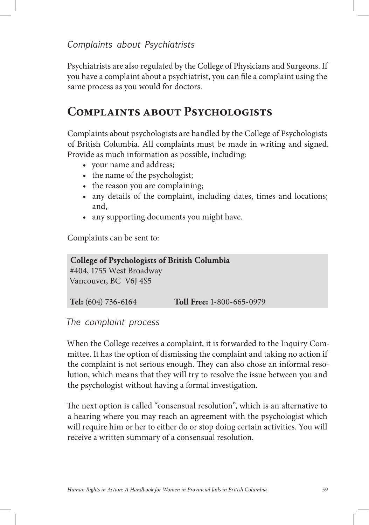Psychiatrists are also regulated by the College of Physicians and Surgeons. If you have a complaint about a psychiatrist, you can file a complaint using the same process as you would for doctors.

## **Complaints about Psychologists**

Complaints about psychologists are handled by the College of Psychologists of British Columbia. All complaints must be made in writing and signed. Provide as much information as possible, including:

- • your name and address;
- the name of the psychologist;
- the reason you are complaining;
- any details of the complaint, including dates, times and locations; and,
- any supporting documents you might have.

Complaints can be sent to:

| College of Psychologists of British Columbia |                           |  |
|----------------------------------------------|---------------------------|--|
| #404, 1755 West Broadway                     |                           |  |
| Vancouver, BC V6J 4S5                        |                           |  |
|                                              |                           |  |
| Tel: (604) 736-6164                          | Toll Free: 1-800-665-0979 |  |

#### *The complaint process*

When the College receives a complaint, it is forwarded to the Inquiry Committee. It has the option of dismissing the complaint and taking no action if the complaint is not serious enough. They can also chose an informal resolution, which means that they will try to resolve the issue between you and the psychologist without having a formal investigation.

The next option is called "consensual resolution", which is an alternative to a hearing where you may reach an agreement with the psychologist which will require him or her to either do or stop doing certain activities. You will receive a written summary of a consensual resolution.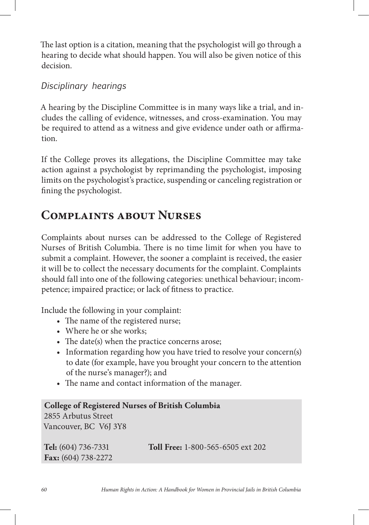The last option is a citation, meaning that the psychologist will go through a hearing to decide what should happen. You will also be given notice of this decision.

## *Disciplinary hearings*

A hearing by the Discipline Committee is in many ways like a trial, and includes the calling of evidence, witnesses, and cross-examination. You may be required to attend as a witness and give evidence under oath or affirmation.

If the College proves its allegations, the Discipline Committee may take action against a psychologist by reprimanding the psychologist, imposing limits on the psychologist's practice, suspending or canceling registration or fining the psychologist.

## **Complaints about Nurses**

Complaints about nurses can be addressed to the College of Registered Nurses of British Columbia. There is no time limit for when you have to submit a complaint. However, the sooner a complaint is received, the easier it will be to collect the necessary documents for the complaint. Complaints should fall into one of the following categories: unethical behaviour; incompetence; impaired practice; or lack of fitness to practice.

Include the following in your complaint:

- The name of the registered nurse;
- Where he or she works:
- The date(s) when the practice concerns arose;
- Information regarding how you have tried to resolve your concern(s) to date (for example, have you brought your concern to the attention of the nurse's manager?); and
- The name and contact information of the manager.

## **College of Registered Nurses of British Columbia** 2855 Arbutus Street Vancouver, BC V6J 3Y8 **Tel:** (604) 736-7331 **Toll Free:** 1-800-565-6505 ext 202 **Fax:** (604) 738-2272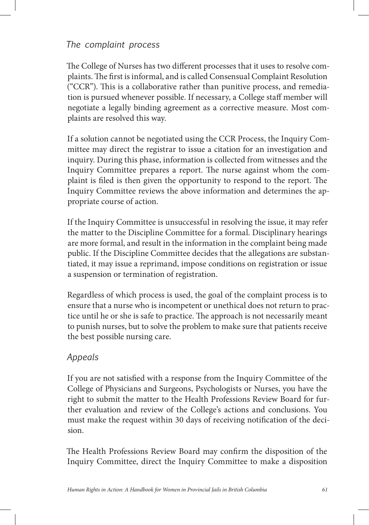## *The complaint process*

The College of Nurses has two different processes that it uses to resolve complaints. The first is informal, and is called Consensual Complaint Resolution ("CCR"). This is a collaborative rather than punitive process, and remediation is pursued whenever possible. If necessary, a College staff member will negotiate a legally binding agreement as a corrective measure. Most complaints are resolved this way.

If a solution cannot be negotiated using the CCR Process, the Inquiry Committee may direct the registrar to issue a citation for an investigation and inquiry. During this phase, information is collected from witnesses and the Inquiry Committee prepares a report. The nurse against whom the complaint is filed is then given the opportunity to respond to the report. The Inquiry Committee reviews the above information and determines the appropriate course of action.

If the Inquiry Committee is unsuccessful in resolving the issue, it may refer the matter to the Discipline Committee for a formal. Disciplinary hearings are more formal, and result in the information in the complaint being made public. If the Discipline Committee decides that the allegations are substantiated, it may issue a reprimand, impose conditions on registration or issue a suspension or termination of registration.

Regardless of which process is used, the goal of the complaint process is to ensure that a nurse who is incompetent or unethical does not return to practice until he or she is safe to practice. The approach is not necessarily meant to punish nurses, but to solve the problem to make sure that patients receive the best possible nursing care.

## *Appeals*

If you are not satisfied with a response from the Inquiry Committee of the College of Physicians and Surgeons, Psychologists or Nurses, you have the right to submit the matter to the Health Professions Review Board for further evaluation and review of the College's actions and conclusions. You must make the request within 30 days of receiving notification of the decision.

The Health Professions Review Board may confirm the disposition of the Inquiry Committee, direct the Inquiry Committee to make a disposition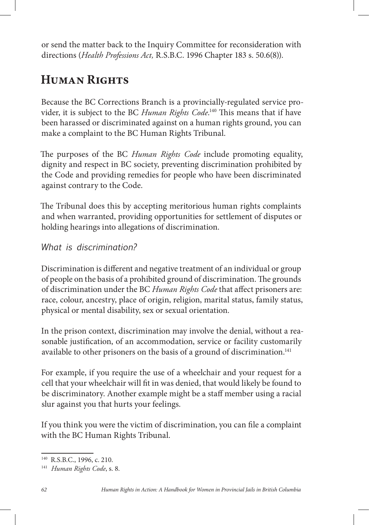or send the matter back to the Inquiry Committee for reconsideration with directions (*Health Professions Act,* R.S.B.C. 1996 Chapter 183 s. 50.6(8)).

## **Human Rights**

Because the BC Corrections Branch is a provincially-regulated service provider, it is subject to the BC *Human Rights Code*.<sup>140</sup> This means that if have been harassed or discriminated against on a human rights ground, you can make a complaint to the BC Human Rights Tribunal.

The purposes of the BC *Human Rights Code* include promoting equality, dignity and respect in BC society, preventing discrimination prohibited by the Code and providing remedies for people who have been discriminated against contrary to the Code.

The Tribunal does this by accepting meritorious human rights complaints and when warranted, providing opportunities for settlement of disputes or holding hearings into allegations of discrimination.

*What is discrimination?*

Discrimination is different and negative treatment of an individual or group of people on the basis of a prohibited ground of discrimination. The grounds of discrimination under the BC *Human Rights Code* that affect prisoners are: race, colour, ancestry, place of origin, religion, marital status, family status, physical or mental disability, sex or sexual orientation.

In the prison context, discrimination may involve the denial, without a reasonable justification, of an accommodation, service or facility customarily available to other prisoners on the basis of a ground of discrimination.<sup>141</sup>

For example, if you require the use of a wheelchair and your request for a cell that your wheelchair will fit in was denied, that would likely be found to be discriminatory. Another example might be a staff member using a racial slur against you that hurts your feelings.

If you think you were the victim of discrimination, you can file a complaint with the BC Human Rights Tribunal.

<sup>140</sup> R.S.B.C., 1996, c. 210.

<sup>141</sup> *Human Rights Code*, s. 8.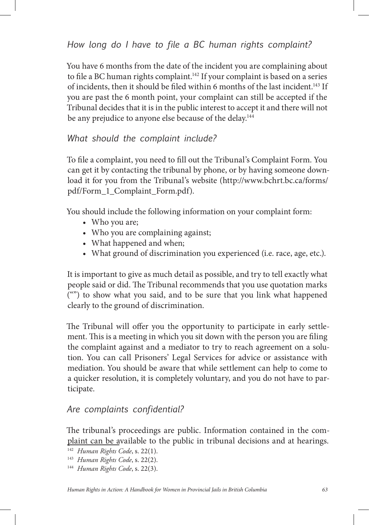*How long do I have to file a BC human rights complaint?*

You have 6 months from the date of the incident you are complaining about to file a BC human rights complaint.<sup>142</sup> If your complaint is based on a series of incidents, then it should be filed within 6 months of the last incident.<sup>143</sup> If you are past the 6 month point, your complaint can still be accepted if the Tribunal decides that it is in the public interest to accept it and there will not be any prejudice to anyone else because of the delay.<sup>144</sup>

#### *What should the complaint include?*

To file a complaint, you need to fill out the Tribunal's Complaint Form. You can get it by contacting the tribunal by phone, or by having someone download it for you from the Tribunal's website (http://www.bchrt.bc.ca/forms/ pdf/Form\_1\_Complaint\_Form.pdf).

You should include the following information on your complaint form:

- Who you are;
- Who you are complaining against;
- What happened and when;
- What ground of discrimination you experienced (i.e. race, age, etc.).

It is important to give as much detail as possible, and try to tell exactly what people said or did. The Tribunal recommends that you use quotation marks ("") to show what you said, and to be sure that you link what happened clearly to the ground of discrimination.

The Tribunal will offer you the opportunity to participate in early settlement. This is a meeting in which you sit down with the person you are filing the complaint against and a mediator to try to reach agreement on a solution. You can call Prisoners' Legal Services for advice or assistance with mediation. You should be aware that while settlement can help to come to a quicker resolution, it is completely voluntary, and you do not have to participate.

#### *Are complaints confidential?*

The tribunal's proceedings are public. Information contained in the complaint can be available to the public in tribunal decisions and at hearings.

<sup>142</sup> *Human Rights Code*, s. 22(1).

<sup>143</sup> *Human Rights Code*, s. 22(2).

<sup>144</sup> *Human Rights Code*, s. 22(3).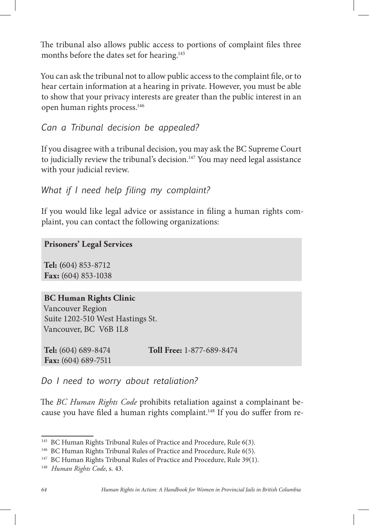The tribunal also allows public access to portions of complaint files three months before the dates set for hearing.<sup>145</sup>

You can ask the tribunal not to allow public access to the complaint file, or to hear certain information at a hearing in private. However, you must be able to show that your privacy interests are greater than the public interest in an open human rights process.146

*Can a Tribunal decision be appealed?*

If you disagree with a tribunal decision, you may ask the BC Supreme Court to judicially review the tribunal's decision.<sup>147</sup> You may need legal assistance with your judicial review.

```
What if I need help filing my complaint?
```
If you would like legal advice or assistance in filing a human rights complaint, you can contact the following organizations:

**Prisoners' Legal Services** 

**Tel: (**604) 853-8712 **Fax:** (604) 853-1038

#### **BC Human Rights Clinic**

Vancouver Region Suite 1202-510 West Hastings St. Vancouver, BC V6B 1L8

**Tel:** (604) 689-8474 **Toll Free:** 1-877-689-8474 **Fax:** (604) 689-7511

*Do I need to worry about retaliation?*

e *BC Human Rights Code* prohibits retaliation against a complainant because you have filed a human rights complaint.<sup>148</sup> If you do suffer from re-

<sup>&</sup>lt;sup>145</sup> BC Human Rights Tribunal Rules of Practice and Procedure, Rule 6(3).

<sup>&</sup>lt;sup>146</sup> BC Human Rights Tribunal Rules of Practice and Procedure, Rule 6(5).

<sup>&</sup>lt;sup>147</sup> BC Human Rights Tribunal Rules of Practice and Procedure, Rule 39(1).

<sup>148</sup> *Human Rights Code*, s. 43.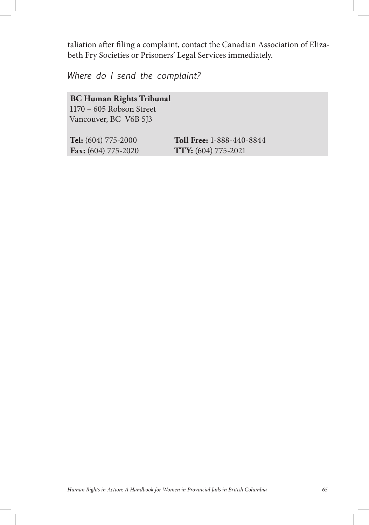taliation after filing a complaint, contact the Canadian Association of Elizabeth Fry Societies or Prisoners' Legal Services immediately.

*Where do I send the complaint?*

**BC Human Rights Tribunal** 1170 – 605 Robson Street Vancouver, BC V6B 5J3

**Tel:** (604) 775-2000 **Toll Free:** 1-888-440-8844 **Fax:** (604) 775-2020 **TTY:** (604) 775-2021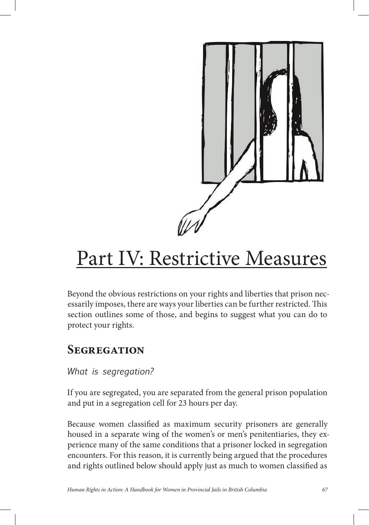

# Part IV: Restrictive Measures

Beyond the obvious restrictions on your rights and liberties that prison necessarily imposes, there are ways your liberties can be further restricted. This section outlines some of those, and begins to suggest what you can do to protect your rights.

## **Segregation**

## *What is segregation?*

If you are segregated, you are separated from the general prison population and put in a segregation cell for 23 hours per day.

Because women classified as maximum security prisoners are generally housed in a separate wing of the women's or men's penitentiaries, they experience many of the same conditions that a prisoner locked in segregation encounters. For this reason, it is currently being argued that the procedures and rights outlined below should apply just as much to women classified as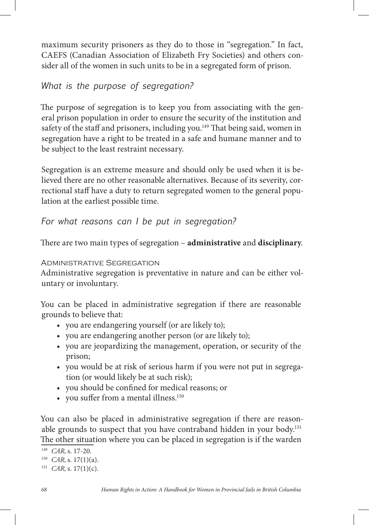maximum security prisoners as they do to those in "segregation." In fact, CAEFS (Canadian Association of Elizabeth Fry Societies) and others consider all of the women in such units to be in a segregated form of prison.

*What is the purpose of segregation?*

The purpose of segregation is to keep you from associating with the general prison population in order to ensure the security of the institution and safety of the staff and prisoners, including you.<sup>149</sup> That being said, women in segregation have a right to be treated in a safe and humane manner and to be subject to the least restraint necessary.

Segregation is an extreme measure and should only be used when it is believed there are no other reasonable alternatives. Because of its severity, correctional staff have a duty to return segregated women to the general population at the earliest possible time.

*For what reasons can I be put in segregation?* 

There are two main types of segregation – **administrative** and **disciplinary**.

Administrative Segregation

Administrative segregation is preventative in nature and can be either voluntary or involuntary.

You can be placed in administrative segregation if there are reasonable grounds to believe that:

- • you are endangering yourself (or are likely to);
- you are endangering another person (or are likely to);
- • you are jeopardizing the management, operation, or security of the prison;
- you would be at risk of serious harm if you were not put in segregation (or would likely be at such risk);
- you should be confined for medical reasons; or
- you suffer from a mental illness. $150$

You can also be placed in administrative segregation if there are reasonable grounds to suspect that you have contraband hidden in your body.<sup>151</sup> The other situation where you can be placed in segregation is if the warden

<sup>149</sup> *CAR*, s. 17-20.

<sup>150</sup> *CAR*, s. 17(1)(a).

<sup>&</sup>lt;sup>151</sup> *CAR*, s. 17(1)(c).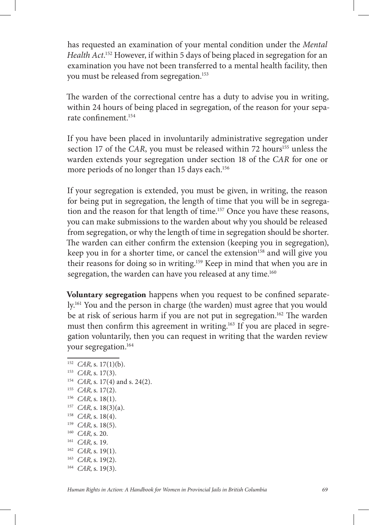has requested an examination of your mental condition under the *Mental Health Act*. 152 However, if within 5 days of being placed in segregation for an examination you have not been transferred to a mental health facility, then you must be released from segregation.153

The warden of the correctional centre has a duty to advise you in writing, within 24 hours of being placed in segregation, of the reason for your separate confinement.<sup>154</sup>

If you have been placed in involuntarily administrative segregation under section 17 of the *CAR*, you must be released within 72 hours<sup>155</sup> unless the warden extends your segregation under section 18 of the *CAR* for one or more periods of no longer than 15 days each.<sup>156</sup>

If your segregation is extended, you must be given, in writing, the reason for being put in segregation, the length of time that you will be in segregation and the reason for that length of time.<sup>157</sup> Once you have these reasons, you can make submissions to the warden about why you should be released from segregation, or why the length of time in segregation should be shorter. The warden can either confirm the extension (keeping you in segregation), keep you in for a shorter time, or cancel the extension<sup>158</sup> and will give you their reasons for doing so in writing.159 Keep in mind that when you are in segregation, the warden can have you released at any time.<sup>160</sup>

**Voluntary segregation** happens when you request to be confined separately.161 You and the person in charge (the warden) must agree that you would be at risk of serious harm if you are not put in segregation.<sup>162</sup> The warden must then confirm this agreement in writing.<sup>163</sup> If you are placed in segregation voluntarily, then you can request in writing that the warden review your segregation.164

- <sup>154</sup> *CAR*, s. 17(4) and s. 24(2).
- <sup>155</sup> *CAR*, s. 17(2).
- <sup>156</sup> *CAR*, s. 18(1).
- <sup>157</sup> *CAR*, s. 18(3)(a).
- <sup>158</sup> *CAR*, s. 18(4).
- <sup>159</sup> *CAR*, s. 18(5).
- <sup>160</sup> *CAR*, s. 20.
- <sup>161</sup> *CAR*, s. 19.
- <sup>162</sup> *CAR*, s. 19(1).
- <sup>163</sup> *CAR*, s. 19(2).
- 164 *CAR*, s. 19(3).

<sup>152</sup> *CAR*, s. 17(1)(b).

<sup>153</sup> *CAR*, s. 17(3).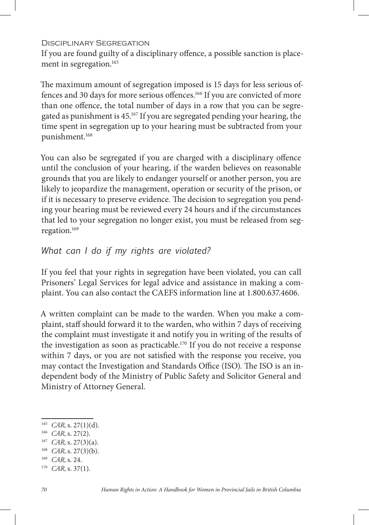#### Disciplinary Segregation

If you are found guilty of a disciplinary offence, a possible sanction is placement in segregation.<sup>165</sup>

The maximum amount of segregation imposed is 15 days for less serious offences and 30 days for more serious offences.<sup>166</sup> If you are convicted of more than one offence, the total number of days in a row that you can be segregated as punishment is 45.167 If you are segregated pending your hearing, the time spent in segregation up to your hearing must be subtracted from your punishment.168

You can also be segregated if you are charged with a disciplinary offence until the conclusion of your hearing, if the warden believes on reasonable grounds that you are likely to endanger yourself or another person, you are likely to jeopardize the management, operation or security of the prison, or if it is necessary to preserve evidence. The decision to segregation you pending your hearing must be reviewed every 24 hours and if the circumstances that led to your segregation no longer exist, you must be released from segregation.169

## *What can I do if my rights are violated?*

If you feel that your rights in segregation have been violated, you can call Prisoners' Legal Services for legal advice and assistance in making a complaint. You can also contact the CAEFS information line at 1.800.637.4606.

A written complaint can be made to the warden. When you make a complaint, staff should forward it to the warden, who within 7 days of receiving the complaint must investigate it and notify you in writing of the results of the investigation as soon as practicable.170 If you do not receive a response within 7 days, or you are not satisfied with the response you receive, you may contact the Investigation and Standards Office (ISO). The ISO is an independent body of the Ministry of Public Safety and Solicitor General and Ministry of Attorney General.

<sup>169</sup> *CAR*, s. 24.

<sup>165</sup> *CAR*, s. 27(1)(d).

<sup>&</sup>lt;sup>166</sup> CAR, s. 27(2).

*CAR*, s. 27(3)(a).

<sup>168</sup> *CAR*, s. 27(3)(b).

<sup>170</sup> *CAR*, s. 37(1).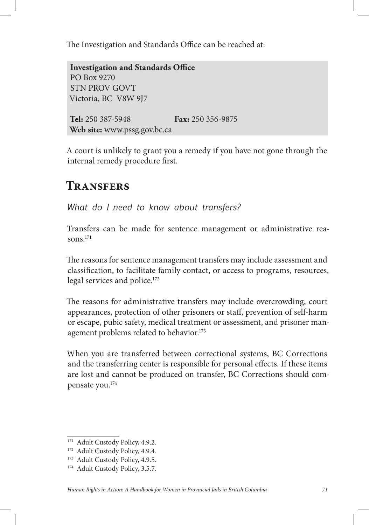The Investigation and Standards Office can be reached at:

**Investigation and Standards Office** PO Box 9270 STN PROV GOVT Victoria, BC V8W 9J7 **Tel:** 250 387-5948 **Fax:** 250 356-9875 **Web site:** www.pssg.gov.bc.ca

A court is unlikely to grant you a remedy if you have not gone through the internal remedy procedure first.

## **Transfers**

*What do I need to know about transfers?*

Transfers can be made for sentence management or administrative reasons.171

The reasons for sentence management transfers may include assessment and classification, to facilitate family contact, or access to programs, resources, legal services and police.172

The reasons for administrative transfers may include overcrowding, court appearances, protection of other prisoners or staff, prevention of self-harm or escape, pubic safety, medical treatment or assessment, and prisoner management problems related to behavior.<sup>173</sup>

When you are transferred between correctional systems, BC Corrections and the transferring center is responsible for personal effects. If these items are lost and cannot be produced on transfer, BC Corrections should compensate you.174

<sup>&</sup>lt;sup>171</sup> Adult Custody Policy, 4.9.2.

<sup>&</sup>lt;sup>172</sup> Adult Custody Policy, 4.9.4.

<sup>&</sup>lt;sup>173</sup> Adult Custody Policy, 4.9.5.

<sup>&</sup>lt;sup>174</sup> Adult Custody Policy, 3.5.7.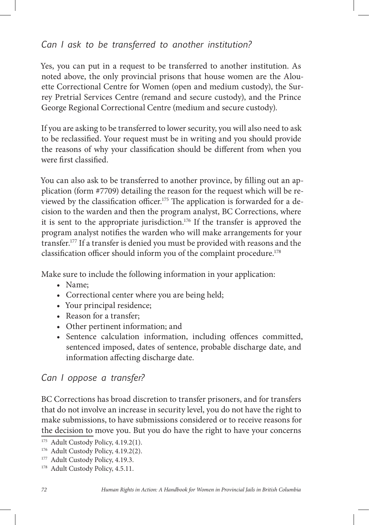## *Can I ask to be transferred to another institution?*

Yes, you can put in a request to be transferred to another institution. As noted above, the only provincial prisons that house women are the Alouette Correctional Centre for Women (open and medium custody), the Surrey Pretrial Services Centre (remand and secure custody), and the Prince George Regional Correctional Centre (medium and secure custody).

If you are asking to be transferred to lower security, you will also need to ask to be reclassified. Your request must be in writing and you should provide the reasons of why your classification should be different from when you were first classified.

You can also ask to be transferred to another province, by filling out an application (form #7709) detailing the reason for the request which will be reviewed by the classification officer.<sup>175</sup> The application is forwarded for a decision to the warden and then the program analyst, BC Corrections, where it is sent to the appropriate jurisdiction.<sup>176</sup> If the transfer is approved the program analyst notifies the warden who will make arrangements for your transfer.177 If a transfer is denied you must be provided with reasons and the classification officer should inform you of the complaint procedure.<sup>178</sup>

Make sure to include the following information in your application:

- • Name;
- Correctional center where you are being held;
- Your principal residence;
- Reason for a transfer;
- • Other pertinent information; and
- Sentence calculation information, including offences committed, sentenced imposed, dates of sentence, probable discharge date, and information affecting discharge date.

## *Can I oppose a transfer?*

BC Corrections has broad discretion to transfer prisoners, and for transfers that do not involve an increase in security level, you do not have the right to make submissions, to have submissions considered or to receive reasons for the decision to move you. But you do have the right to have your concerns

<sup>&</sup>lt;sup>175</sup> Adult Custody Policy, 4.19.2(1).

<sup>176</sup> Adult Custody Policy, 4.19.2(2).

<sup>&</sup>lt;sup>177</sup> Adult Custody Policy, 4.19.3.

<sup>&</sup>lt;sup>178</sup> Adult Custody Policy, 4.5.11.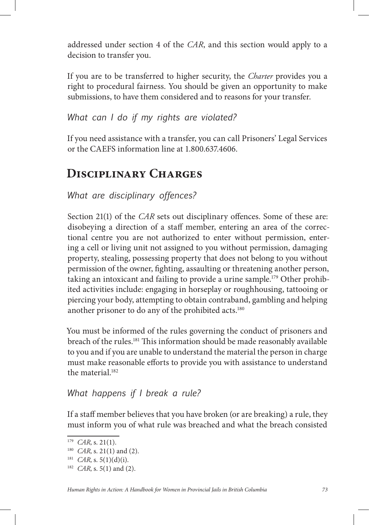addressed under section 4 of the *CAR*, and this section would apply to a decision to transfer you.

If you are to be transferred to higher security, the *Charter* provides you a right to procedural fairness. You should be given an opportunity to make submissions, to have them considered and to reasons for your transfer.

*What can I do if my rights are violated?* 

If you need assistance with a transfer, you can call Prisoners' Legal Services or the CAEFS information line at 1.800.637.4606.

# **Disciplinary Charges**

*What are disciplinary offences?*

Section 21(1) of the *CAR* sets out disciplinary offences. Some of these are: disobeying a direction of a staff member, entering an area of the correctional centre you are not authorized to enter without permission, entering a cell or living unit not assigned to you without permission, damaging property, stealing, possessing property that does not belong to you without permission of the owner, fighting, assaulting or threatening another person, taking an intoxicant and failing to provide a urine sample.<sup>179</sup> Other prohibited activities include: engaging in horseplay or roughhousing, tattooing or piercing your body, attempting to obtain contraband, gambling and helping another prisoner to do any of the prohibited acts.<sup>180</sup>

You must be informed of the rules governing the conduct of prisoners and breach of the rules.<sup>181</sup> This information should be made reasonably available to you and if you are unable to understand the material the person in charge must make reasonable efforts to provide you with assistance to understand the material.182

# *What happens if I break a rule?*

If a staff member believes that you have broken (or are breaking) a rule, they must inform you of what rule was breached and what the breach consisted

<sup>179</sup> *CAR*, s. 21(1).

<sup>180</sup> *CAR*, s. 21(1) and (2).

 $181$  *CAR*, s. 5(1)(d)(i).

<sup>182</sup> *CAR*, s. 5(1) and (2).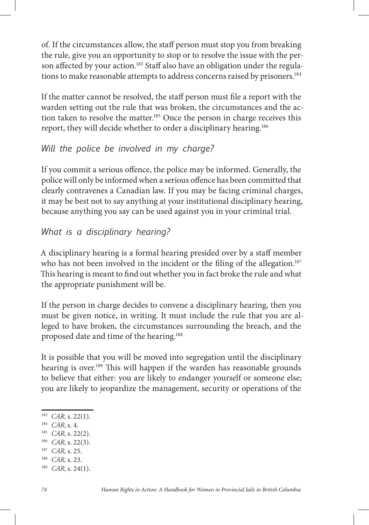of. If the circumstances allow, the staff person must stop you from breaking the rule, give you an opportunity to stop or to resolve the issue with the person affected by your action.<sup>183</sup> Staff also have an obligation under the regulations to make reasonable attempts to address concerns raised by prisoners.<sup>184</sup>

If the matter cannot be resolved, the staff person must file a report with the warden setting out the rule that was broken, the circumstances and the action taken to resolve the matter.<sup>185</sup> Once the person in charge receives this report, they will decide whether to order a disciplinary hearing.186

## *Will the police be involved in my charge?*

If you commit a serious offence, the police may be informed. Generally, the police will only be informed when a serious offence has been committed that clearly contravenes a Canadian law. If you may be facing criminal charges, it may be best not to say anything at your institutional disciplinary hearing, because anything you say can be used against you in your criminal trial.

# *What is a disciplinary hearing?*

A disciplinary hearing is a formal hearing presided over by a staff member who has not been involved in the incident or the filing of the allegation.<sup>187</sup> This hearing is meant to find out whether you in fact broke the rule and what the appropriate punishment will be.

If the person in charge decides to convene a disciplinary hearing, then you must be given notice, in writing. It must include the rule that you are alleged to have broken, the circumstances surrounding the breach, and the proposed date and time of the hearing.188

It is possible that you will be moved into segregation until the disciplinary hearing is over.<sup>189</sup> This will happen if the warden has reasonable grounds to believe that either: you are likely to endanger yourself or someone else; you are likely to jeopardize the management, security or operations of the

- <sup>185</sup> *CAR*, s. 22(2).
- <sup>186</sup> *CAR*, s. 22(3).
- <sup>187</sup> *CAR*, s. 25. <sup>188</sup> *CAR*, s. 23.
- 189 *CAR*, s. 24(1).

<sup>183</sup> *CAR*, s. 22(1).

<sup>184</sup> *CAR*, s. 4.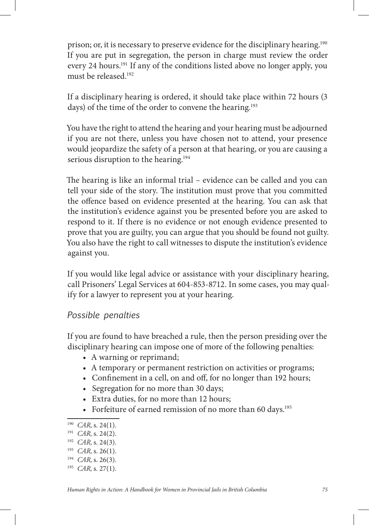prison; or, it is necessary to preserve evidence for the disciplinary hearing.190 If you are put in segregation, the person in charge must review the order every 24 hours.<sup>191</sup> If any of the conditions listed above no longer apply, you must be released.192

If a disciplinary hearing is ordered, it should take place within 72 hours (3 days) of the time of the order to convene the hearing.<sup>193</sup>

You have the right to attend the hearing and your hearing must be adjourned if you are not there, unless you have chosen not to attend, your presence would jeopardize the safety of a person at that hearing, or you are causing a serious disruption to the hearing.<sup>194</sup>

The hearing is like an informal trial – evidence can be called and you can tell your side of the story. The institution must prove that you committed the offence based on evidence presented at the hearing. You can ask that the institution's evidence against you be presented before you are asked to respond to it. If there is no evidence or not enough evidence presented to prove that you are guilty, you can argue that you should be found not guilty. You also have the right to call witnesses to dispute the institution's evidence against you.

If you would like legal advice or assistance with your disciplinary hearing, call Prisoners' Legal Services at 604-853-8712. In some cases, you may qualify for a lawyer to represent you at your hearing.

#### *Possible penalties*

If you are found to have breached a rule, then the person presiding over the disciplinary hearing can impose one of more of the following penalties:

- A warning or reprimand;
- A temporary or permanent restriction on activities or programs;
- Confinement in a cell, on and off, for no longer than 192 hours;
- Segregation for no more than 30 days;
- Extra duties, for no more than 12 hours;
- Forfeiture of earned remission of no more than 60 days.<sup>195</sup>

<sup>190</sup> *CAR*, s. 24(1).

<sup>191</sup> *CAR*, s. 24(2).

<sup>192</sup> *CAR*, s. 24(3).

<sup>193</sup> *CAR*, s. 26(1).

<sup>194</sup> *CAR*, s. 26(3).

<sup>195</sup> *CAR*, s. 27(1).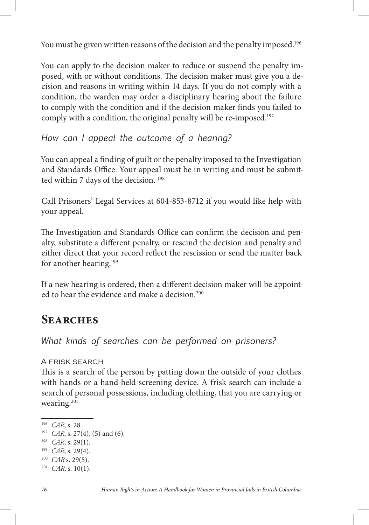You must be given written reasons of the decision and the penalty imposed.<sup>196</sup>

You can apply to the decision maker to reduce or suspend the penalty imposed, with or without conditions. The decision maker must give you a decision and reasons in writing within 14 days. If you do not comply with a condition, the warden may order a disciplinary hearing about the failure to comply with the condition and if the decision maker finds you failed to comply with a condition, the original penalty will be re-imposed.<sup>197</sup>

*How can I appeal the outcome of a hearing?*

You can appeal a finding of guilt or the penalty imposed to the Investigation and Standards Office. Your appeal must be in writing and must be submitted within 7 days of the decision.<sup>198</sup>

Call Prisoners' Legal Services at 604-853-8712 if you would like help with your appeal.

The Investigation and Standards Office can confirm the decision and penalty, substitute a different penalty, or rescind the decision and penalty and either direct that your record reflect the rescission or send the matter back for another hearing.<sup>199</sup>

If a new hearing is ordered, then a different decision maker will be appointed to hear the evidence and make a decision.<sup>200</sup>

# **Searches**

*What kinds of searches can be performed on prisoners?*

A frisk search

This is a search of the person by patting down the outside of your clothes with hands or a hand-held screening device. A frisk search can include a search of personal possessions, including clothing, that you are carrying or wearing.<sup>201</sup>

<sup>196</sup> *CAR*, s. 28.

<sup>197</sup> *CAR*, s. 27(4), (5) and (6).

<sup>198</sup> *CAR*, s. 29(1).

<sup>199</sup> *CAR*, s. 29(4).

<sup>200</sup> *CAR* s. 29(5).

<sup>201</sup> *CAR*, s. 10(1).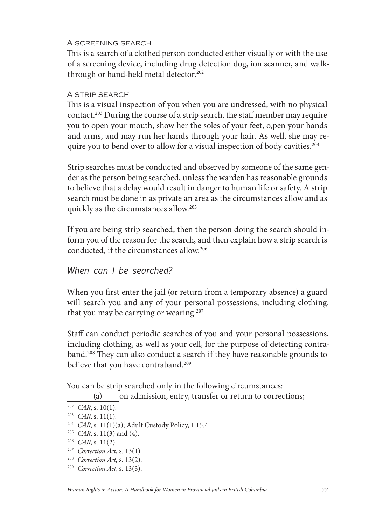#### A screening search

This is a search of a clothed person conducted either visually or with the use of a screening device, including drug detection dog, ion scanner, and walkthrough or hand-held metal detector.<sup>202</sup>

#### A strip search

This is a visual inspection of you when you are undressed, with no physical contact.<sup>203</sup> During the course of a strip search, the staff member may require you to open your mouth, show her the soles of your feet, o,pen your hands and arms, and may run her hands through your hair. As well, she may require you to bend over to allow for a visual inspection of body cavities.<sup>204</sup>

Strip searches must be conducted and observed by someone of the same gender as the person being searched, unless the warden has reasonable grounds to believe that a delay would result in danger to human life or safety. A strip search must be done in as private an area as the circumstances allow and as quickly as the circumstances allow.205

If you are being strip searched, then the person doing the search should inform you of the reason for the search, and then explain how a strip search is conducted, if the circumstances allow.206

#### *When can I be searched?*

When you first enter the jail (or return from a temporary absence) a guard will search you and any of your personal possessions, including clothing, that you may be carrying or wearing.<sup>207</sup>

Staff can conduct periodic searches of you and your personal possessions, including clothing, as well as your cell, for the purpose of detecting contraband.<sup>208</sup> They can also conduct a search if they have reasonable grounds to believe that you have contraband.<sup>209</sup>

You can be strip searched only in the following circumstances:

(a) on admission, entry, transfer or return to corrections;

<sup>202</sup> *CAR*, s. 10(1).

<sup>203</sup> *CAR*, s. 11(1).

<sup>&</sup>lt;sup>204</sup> *CAR*, s. 11(1)(a); Adult Custody Policy, 1.15.4.

<sup>205</sup> *CAR*, s. 11(3) and (4).

<sup>206</sup> *CAR*, s. 11(2).

<sup>207</sup> *Correction Act*, s. 13(1).

<sup>208</sup> *Correction Act*, s. 13(2).

<sup>209</sup> *Correction Act*, s. 13(3).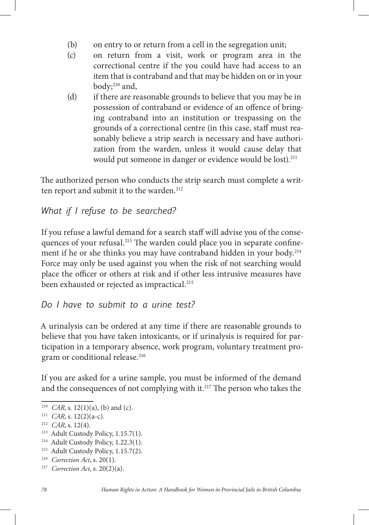- (b) on entry to or return from a cell in the segregation unit;
- (c) on return from a visit, work or program area in the correctional centre if the you could have had access to an item that is contraband and that may be hidden on or in your body;<sup>210</sup> and,
- (d) if there are reasonable grounds to believe that you may be in possession of contraband or evidence of an offence of bring ing contraband into an institution or trespassing on the grounds of a correctional centre (in this case, staff must rea sonably believe a strip search is necessary and have authori zation from the warden, unless it would cause delay that would put someone in danger or evidence would be lost).<sup>211</sup>

The authorized person who conducts the strip search must complete a written report and submit it to the warden.<sup>212</sup>

```
What if I refuse to be searched?
```
If you refuse a lawful demand for a search staff will advise you of the consequences of your refusal.<sup>213</sup> The warden could place you in separate confinement if he or she thinks you may have contraband hidden in your body.<sup>214</sup> Force may only be used against you when the risk of not searching would place the officer or others at risk and if other less intrusive measures have been exhausted or rejected as impractical.<sup>215</sup>

## *Do I have to submit to a urine test?*

A urinalysis can be ordered at any time if there are reasonable grounds to believe that you have taken intoxicants, or if urinalysis is required for participation in a temporary absence, work program, voluntary treatment program or conditional release.<sup>216</sup>

If you are asked for a urine sample, you must be informed of the demand and the consequences of not complying with it.<sup>217</sup> The person who takes the

<sup>&</sup>lt;sup>210</sup> *CAR*, s. 12(1)(a), (b) and (c).

<sup>211</sup> *CAR*, s. 12(2)(a-c).

<sup>212</sup> *CAR*, s. 12(4).

<sup>&</sup>lt;sup>213</sup> Adult Custody Policy, 1.15.7(1).

<sup>&</sup>lt;sup>214</sup> Adult Custody Policy, 1.22.3(1).

<sup>215</sup> Adult Custody Policy, 1.15.7(2).

<sup>216</sup> *Correction Act*, s. 20(1).

<sup>217</sup> *Correction Act*, s. 20(2)(a).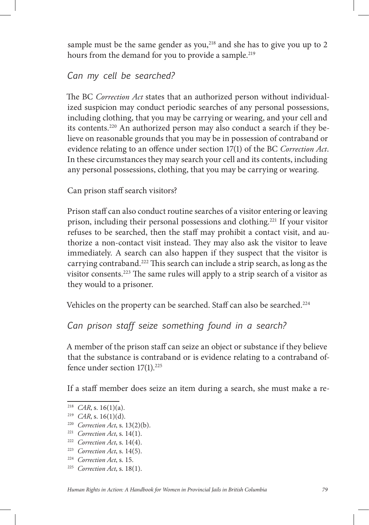sample must be the same gender as you, $^{218}$  and she has to give you up to 2 hours from the demand for you to provide a sample.<sup>219</sup>

#### *Can my cell be searched?*

The BC *Correction Act* states that an authorized person without individualized suspicion may conduct periodic searches of any personal possessions, including clothing, that you may be carrying or wearing, and your cell and its contents.220 An authorized person may also conduct a search if they believe on reasonable grounds that you may be in possession of contraband or evidence relating to an offence under section 17(1) of the BC *Correction Act*. In these circumstances they may search your cell and its contents, including any personal possessions, clothing, that you may be carrying or wearing.

Can prison staff search visitors?

Prison staff can also conduct routine searches of a visitor entering or leaving prison, including their personal possessions and clothing.221 If your visitor refuses to be searched, then the staff may prohibit a contact visit, and authorize a non-contact visit instead. They may also ask the visitor to leave immediately. A search can also happen if they suspect that the visitor is carrying contraband.<sup>222</sup> This search can include a strip search, as long as the visitor consents.<sup>223</sup> The same rules will apply to a strip search of a visitor as they would to a prisoner.

Vehicles on the property can be searched. Staff can also be searched.<sup>224</sup>

## *Can prison staff seize something found in a search?*

A member of the prison staff can seize an object or substance if they believe that the substance is contraband or is evidence relating to a contraband offence under section 17(1).<sup>225</sup>

If a staff member does seize an item during a search, she must make a re-

- <sup>224</sup> *Correction Act*, s. 15.
- 225 *Correction Act*, s. 18(1).

<sup>&</sup>lt;sup>218</sup> *CAR*, s. 16(1)(a).

<sup>219</sup> *CAR*, s. 16(1)(d).

<sup>220</sup> *Correction Act*, s. 13(2)(b).

<sup>221</sup> *Correction Act*, s. 14(1).

<sup>222</sup> *Correction Act*, s. 14(4).

<sup>223</sup> *Correction Act*, s. 14(5).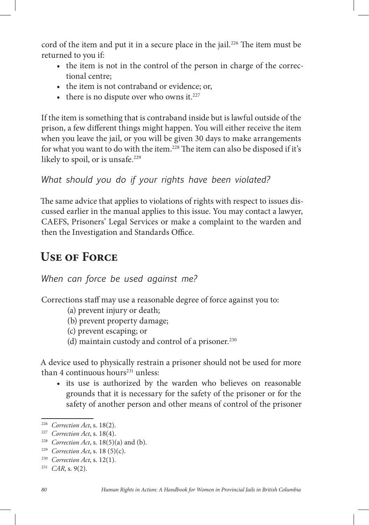cord of the item and put it in a secure place in the jail.<sup>226</sup> The item must be returned to you if:

- the item is not in the control of the person in charge of the correctional centre;
- the item is not contraband or evidence; or,
- there is no dispute over who owns it. $227$

If the item is something that is contraband inside but is lawful outside of the prison, a few different things might happen. You will either receive the item when you leave the jail, or you will be given 30 days to make arrangements for what you want to do with the item.<sup>228</sup> The item can also be disposed if it's likely to spoil, or is unsafe.<sup>229</sup>

*What should you do if your rights have been violated?*

The same advice that applies to violations of rights with respect to issues discussed earlier in the manual applies to this issue. You may contact a lawyer, CAEFS, Prisoners' Legal Services or make a complaint to the warden and then the Investigation and Standards Office.

# **Use of Force**

*When can force be used against me?*

Corrections staff may use a reasonable degree of force against you to:

- (a) prevent injury or death;
- (b) prevent property damage;
- (c) prevent escaping; or
- (d) maintain custody and control of a prisoner.<sup>230</sup>

A device used to physically restrain a prisoner should not be used for more than 4 continuous hours $231$  unless:

• its use is authorized by the warden who believes on reasonable grounds that it is necessary for the safety of the prisoner or for the safety of another person and other means of control of the prisoner

<sup>226</sup> *Correction Act*, s. 18(2).

<sup>227</sup> *Correction Act*, s. 18(4).

<sup>228</sup> *Correction Act*, s. 18(5)(a) and (b).

<sup>229</sup> *Correction Act*, s. 18 (5)(c).

<sup>230</sup> *Correction Act*, s. 12(1).

<sup>231</sup> *CAR*, s. 9(2).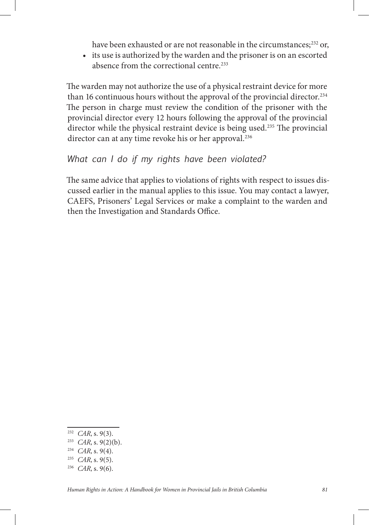have been exhausted or are not reasonable in the circumstances;<sup>232</sup> or,

• its use is authorized by the warden and the prisoner is on an escorted absence from the correctional centre.<sup>233</sup>

The warden may not authorize the use of a physical restraint device for more than 16 continuous hours without the approval of the provincial director.<sup>234</sup> The person in charge must review the condition of the prisoner with the provincial director every 12 hours following the approval of the provincial director while the physical restraint device is being used.<sup>235</sup> The provincial director can at any time revoke his or her approval.<sup>236</sup>

#### *What can I do if my rights have been violated?*

The same advice that applies to violations of rights with respect to issues discussed earlier in the manual applies to this issue. You may contact a lawyer, CAEFS, Prisoners' Legal Services or make a complaint to the warden and then the Investigation and Standards Office.

<sup>232</sup> *CAR*, s. 9(3).

<sup>233</sup> *CAR*, s. 9(2)(b).

<sup>234</sup> *CAR*, s. 9(4).

<sup>235</sup> *CAR*, s. 9(5).

<sup>236</sup> *CAR*, s. 9(6).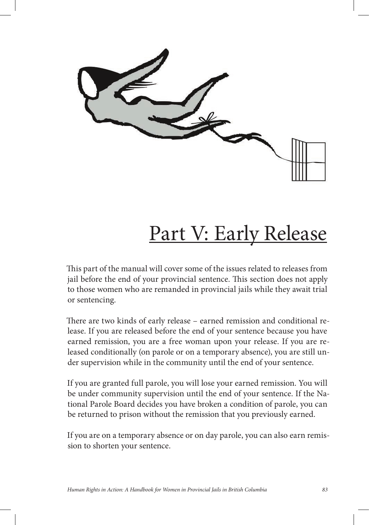# Part V: Early Release

This part of the manual will cover some of the issues related to releases from jail before the end of your provincial sentence. This section does not apply to those women who are remanded in provincial jails while they await trial or sentencing.

There are two kinds of early release – earned remission and conditional release. If you are released before the end of your sentence because you have earned remission, you are a free woman upon your release. If you are released conditionally (on parole or on a temporary absence), you are still under supervision while in the community until the end of your sentence.

If you are granted full parole, you will lose your earned remission. You will be under community supervision until the end of your sentence. If the National Parole Board decides you have broken a condition of parole, you can be returned to prison without the remission that you previously earned.

If you are on a temporary absence or on day parole, you can also earn remission to shorten your sentence.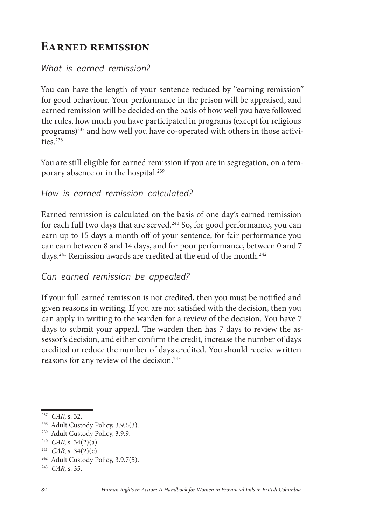# **Earned remission**

## *What is earned remission?*

You can have the length of your sentence reduced by "earning remission" for good behaviour. Your performance in the prison will be appraised, and earned remission will be decided on the basis of how well you have followed the rules, how much you have participated in programs (except for religious programs)<sup>237</sup> and how well you have co-operated with others in those activities. $238$ 

You are still eligible for earned remission if you are in segregation, on a temporary absence or in the hospital.<sup>239</sup>

*How is earned remission calculated?*

Earned remission is calculated on the basis of one day's earned remission for each full two days that are served.<sup>240</sup> So, for good performance, you can earn up to 15 days a month off of your sentence, for fair performance you can earn between 8 and 14 days, and for poor performance, between 0 and 7 days.<sup>241</sup> Remission awards are credited at the end of the month.<sup>242</sup>

*Can earned remission be appealed?*

If your full earned remission is not credited, then you must be notified and given reasons in writing. If you are not satisfied with the decision, then you can apply in writing to the warden for a review of the decision. You have 7 days to submit your appeal. The warden then has 7 days to review the assessor's decision, and either confirm the credit, increase the number of days credited or reduce the number of days credited. You should receive written reasons for any review of the decision.<sup>243</sup>

<sup>237</sup> *CAR*, s. 32.

<sup>238</sup> Adult Custody Policy, 3.9.6(3).

<sup>239</sup> Adult Custody Policy, 3.9.9.

<sup>240</sup> *CAR*, s. 34(2)(a).

<sup>241</sup> *CAR*, s. 34(2)(c).

<sup>&</sup>lt;sup>242</sup> Adult Custody Policy, 3.9.7(5).

<sup>243</sup> *CAR*, s. 35.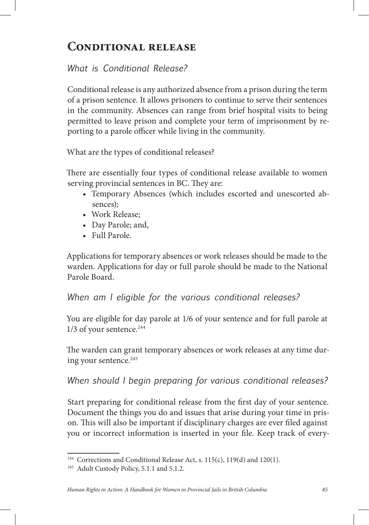# **Conditional release**

# *What is Conditional Release?*

Conditional release is any authorized absence from a prison during the term of a prison sentence. It allows prisoners to continue to serve their sentences in the community. Absences can range from brief hospital visits to being permitted to leave prison and complete your term of imprisonment by reporting to a parole officer while living in the community.

What are the types of conditional releases?

There are essentially four types of conditional release available to women serving provincial sentences in BC. They are:

- • Temporary Absences (which includes escorted and unescorted absences);
- Work Release:
- Day Parole; and,
- • Full Parole.

Applications for temporary absences or work releases should be made to the warden. Applications for day or full parole should be made to the National Parole Board.

*When am I eligible for the various conditional releases?* 

You are eligible for day parole at 1/6 of your sentence and for full parole at  $1/3$  of your sentence.<sup>244</sup>

The warden can grant temporary absences or work releases at any time during your sentence.<sup>245</sup>

# *When should I begin preparing for various conditional releases?*

Start preparing for conditional release from the first day of your sentence. Document the things you do and issues that arise during your time in prison. This will also be important if disciplinary charges are ever filed against you or incorrect information is inserted in your file. Keep track of every-

<sup>&</sup>lt;sup>244</sup> Corrections and Conditional Release Act, s.  $115(c)$ ,  $119(d)$  and  $120(1)$ .

<sup>&</sup>lt;sup>245</sup> Adult Custody Policy, 5.1.1 and 5.1.2.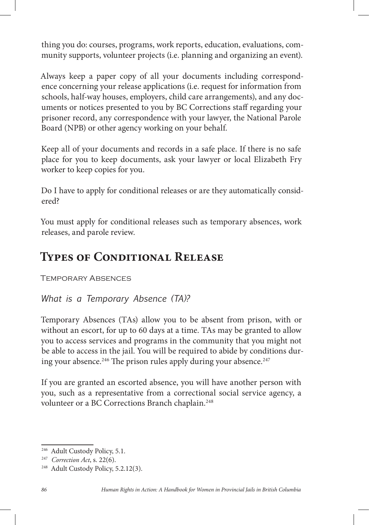thing you do: courses, programs, work reports, education, evaluations, community supports, volunteer projects (i.e. planning and organizing an event).

Always keep a paper copy of all your documents including correspondence concerning your release applications (i.e. request for information from schools, half-way houses, employers, child care arrangements), and any documents or notices presented to you by BC Corrections staff regarding your prisoner record, any correspondence with your lawyer, the National Parole Board (NPB) or other agency working on your behalf.

Keep all of your documents and records in a safe place. If there is no safe place for you to keep documents, ask your lawyer or local Elizabeth Fry worker to keep copies for you.

Do I have to apply for conditional releases or are they automatically considered?

You must apply for conditional releases such as temporary absences, work releases, and parole review.

# **Types of Conditional Release**

Temporary Absences

#### *What is a Temporary Absence (TA)?*

Temporary Absences (TAs) allow you to be absent from prison, with or without an escort, for up to 60 days at a time. TAs may be granted to allow you to access services and programs in the community that you might not be able to access in the jail. You will be required to abide by conditions during your absence.<sup>246</sup> The prison rules apply during your absence.<sup>247</sup>

If you are granted an escorted absence, you will have another person with you, such as a representative from a correctional social service agency, a volunteer or a BC Corrections Branch chaplain.<sup>248</sup>

<sup>246</sup> Adult Custody Policy, 5.1.

<sup>247</sup> *Correction Act*, s. 22(6).

<sup>248</sup> Adult Custody Policy, 5.2.12(3).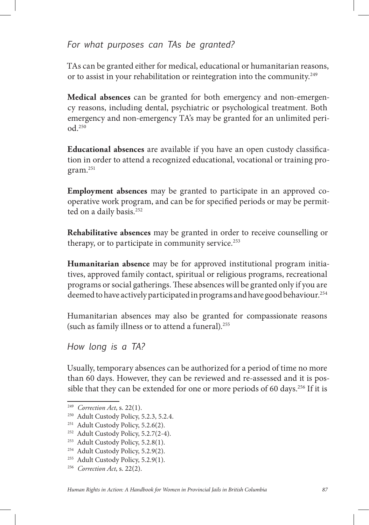## *For what purposes can TAs be granted?*

TAs can be granted either for medical, educational or humanitarian reasons, or to assist in your rehabilitation or reintegration into the community.<sup>249</sup>

**Medical absences** can be granted for both emergency and non-emergency reasons, including dental, psychiatric or psychological treatment. Both emergency and non-emergency TA's may be granted for an unlimited period.250

**Educational absences** are available if you have an open custody classication in order to attend a recognized educational, vocational or training program.251

**Employment absences** may be granted to participate in an approved cooperative work program, and can be for specified periods or may be permitted on a daily basis.<sup>252</sup>

**Rehabilitative absences** may be granted in order to receive counselling or therapy, or to participate in community service.<sup>253</sup>

**Humanitarian absence** may be for approved institutional program initiatives, approved family contact, spiritual or religious programs, recreational programs or social gatherings. These absences will be granted only if you are deemed to have actively participated in programs and have good behaviour.<sup>254</sup>

Humanitarian absences may also be granted for compassionate reasons (such as family illness or to attend a funeral).255

*How long is a TA?*

Usually, temporary absences can be authorized for a period of time no more than 60 days. However, they can be reviewed and re-assessed and it is possible that they can be extended for one or more periods of 60 days.<sup>256</sup> If it is

<sup>249</sup> *Correction Act*, s. 22(1).

<sup>250</sup> Adult Custody Policy, 5.2.3, 5.2.4.

<sup>&</sup>lt;sup>251</sup> Adult Custody Policy, 5.2.6(2).

<sup>252</sup> Adult Custody Policy, 5.2.7(2-4).

<sup>253</sup> Adult Custody Policy, 5.2.8(1).

<sup>&</sup>lt;sup>254</sup> Adult Custody Policy, 5.2.9(2).

<sup>&</sup>lt;sup>255</sup> Adult Custody Policy, 5.2.9(1).

<sup>256</sup> *Correction Act*, s. 22(2).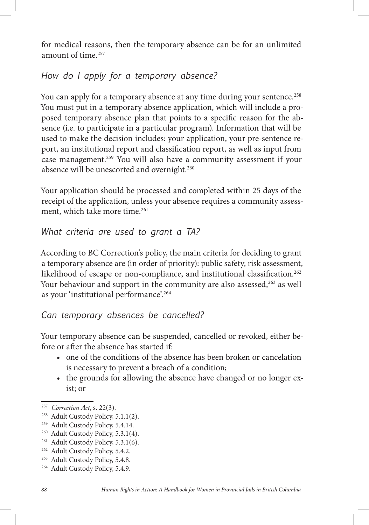for medical reasons, then the temporary absence can be for an unlimited amount of time.257

# *How do I apply for a temporary absence?*

You can apply for a temporary absence at any time during your sentence.<sup>258</sup> You must put in a temporary absence application, which will include a proposed temporary absence plan that points to a specific reason for the absence (i.e. to participate in a particular program). Information that will be used to make the decision includes: your application, your pre-sentence report, an institutional report and classification report, as well as input from case management.259 You will also have a community assessment if your absence will be unescorted and overnight.<sup>260</sup>

Your application should be processed and completed within 25 days of the receipt of the application, unless your absence requires a community assessment, which take more time.<sup>261</sup>

## *What criteria are used to grant a TA?*

According to BC Correction's policy, the main criteria for deciding to grant a temporary absence are (in order of priority): public safety, risk assessment, likelihood of escape or non-compliance, and institutional classification.<sup>262</sup> Your behaviour and support in the community are also assessed,<sup>263</sup> as well as your 'institutional performance'.<sup>264</sup>

## *Can temporary absences be cancelled?*

Your temporary absence can be suspended, cancelled or revoked, either before or after the absence has started if:

- one of the conditions of the absence has been broken or cancelation is necessary to prevent a breach of a condition;
- the grounds for allowing the absence have changed or no longer exist; or

<sup>257</sup> *Correction Act*, s. 22(3).

<sup>258</sup> Adult Custody Policy, 5.1.1(2).

<sup>259</sup> Adult Custody Policy, 5.4.14.

<sup>&</sup>lt;sup>260</sup> Adult Custody Policy, 5.3.1(4).

<sup>&</sup>lt;sup>261</sup> Adult Custody Policy, 5.3.1(6).

<sup>262</sup> Adult Custody Policy, 5.4.2.

<sup>&</sup>lt;sup>263</sup> Adult Custody Policy, 5.4.8.

<sup>&</sup>lt;sup>264</sup> Adult Custody Policy, 5.4.9.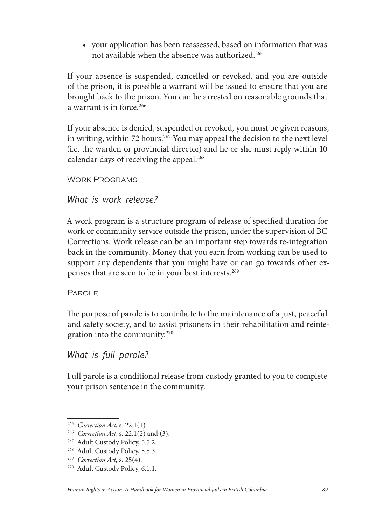• your application has been reassessed, based on information that was not available when the absence was authorized.265

If your absence is suspended, cancelled or revoked, and you are outside of the prison, it is possible a warrant will be issued to ensure that you are brought back to the prison. You can be arrested on reasonable grounds that a warrant is in force.<sup>266</sup>

If your absence is denied, suspended or revoked, you must be given reasons, in writing, within 72 hours.<sup>267</sup> You may appeal the decision to the next level (i.e. the warden or provincial director) and he or she must reply within 10 calendar days of receiving the appeal.<sup>268</sup>

Work Programs

#### *What is work release?*

A work program is a structure program of release of specified duration for work or community service outside the prison, under the supervision of BC Corrections. Work release can be an important step towards re-integration back in the community. Money that you earn from working can be used to support any dependents that you might have or can go towards other expenses that are seen to be in your best interests.269

#### **PAROLE**

The purpose of parole is to contribute to the maintenance of a just, peaceful and safety society, and to assist prisoners in their rehabilitation and reintegration into the community.270

#### *What is full parole?*

Full parole is a conditional release from custody granted to you to complete your prison sentence in the community.

<sup>265</sup> *Correction Act*, s. 22.1(1).

<sup>266</sup> *Correction Act*, s. 22.1(2) and (3).

<sup>&</sup>lt;sup>267</sup> Adult Custody Policy, 5.5.2.

<sup>&</sup>lt;sup>268</sup> Adult Custody Policy, 5.5.3.

<sup>269</sup> *Correction Act*, s. 25(4).

<sup>270</sup> Adult Custody Policy, 6.1.1.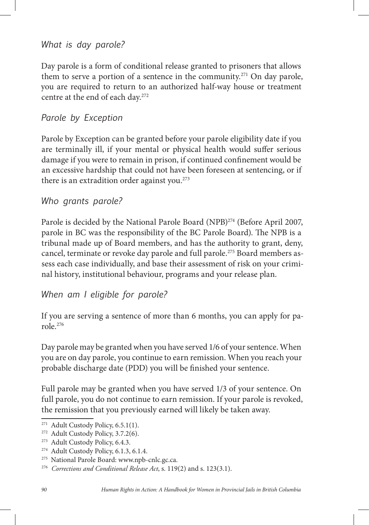*What is day parole?*

Day parole is a form of conditional release granted to prisoners that allows them to serve a portion of a sentence in the community.<sup>271</sup> On day parole, you are required to return to an authorized half-way house or treatment centre at the end of each day.272

## *Parole by Exception*

Parole by Exception can be granted before your parole eligibility date if you are terminally ill, if your mental or physical health would suffer serious damage if you were to remain in prison, if continued confinement would be an excessive hardship that could not have been foreseen at sentencing, or if there is an extradition order against you.<sup>273</sup>

#### *Who grants parole?*

Parole is decided by the National Parole Board (NPB)<sup>274</sup> (Before April 2007, parole in BC was the responsibility of the BC Parole Board). The NPB is a tribunal made up of Board members, and has the authority to grant, deny, cancel, terminate or revoke day parole and full parole.<sup>275</sup> Board members assess each case individually, and base their assessment of risk on your criminal history, institutional behaviour, programs and your release plan.

#### *When am I eligible for parole?*

If you are serving a sentence of more than 6 months, you can apply for parole.276

Day parole may be granted when you have served 1/6 of your sentence. When you are on day parole, you continue to earn remission. When you reach your probable discharge date (PDD) you will be finished your sentence.

Full parole may be granted when you have served 1/3 of your sentence. On full parole, you do not continue to earn remission. If your parole is revoked, the remission that you previously earned will likely be taken away.

<sup>&</sup>lt;sup>271</sup> Adult Custody Policy, 6.5.1(1).

<sup>&</sup>lt;sup>272</sup> Adult Custody Policy, 3.7.2(6).

<sup>273</sup> Adult Custody Policy, 6.4.3.

<sup>&</sup>lt;sup>274</sup> Adult Custody Policy, 6.1.3, 6.1.4.

<sup>275</sup> National Parole Board: www.npb-cnlc.gc.ca.

<sup>276</sup> *Corrections and Conditional Release Act*, s. 119(2) and s. 123(3.1).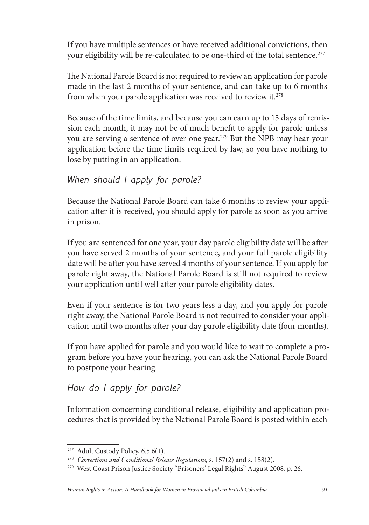If you have multiple sentences or have received additional convictions, then your eligibility will be re-calculated to be one-third of the total sentence.<sup>277</sup>

The National Parole Board is not required to review an application for parole made in the last 2 months of your sentence, and can take up to 6 months from when your parole application was received to review it.278

Because of the time limits, and because you can earn up to 15 days of remission each month, it may not be of much benefit to apply for parole unless you are serving a sentence of over one year.<sup>279</sup> But the NPB may hear your application before the time limits required by law, so you have nothing to lose by putting in an application.

## *When should I apply for parole?*

Because the National Parole Board can take 6 months to review your application after it is received, you should apply for parole as soon as you arrive in prison.

If you are sentenced for one year, your day parole eligibility date will be after you have served 2 months of your sentence, and your full parole eligibility date will be after you have served 4 months of your sentence. If you apply for parole right away, the National Parole Board is still not required to review your application until well after your parole eligibility dates.

Even if your sentence is for two years less a day, and you apply for parole right away, the National Parole Board is not required to consider your application until two months after your day parole eligibility date (four months).

If you have applied for parole and you would like to wait to complete a program before you have your hearing, you can ask the National Parole Board to postpone your hearing.

## *How do I apply for parole?*

Information concerning conditional release, eligibility and application procedures that is provided by the National Parole Board is posted within each

<sup>&</sup>lt;sup>277</sup> Adult Custody Policy, 6.5.6(1).

<sup>278</sup> *Corrections and Conditional Release Regulations*, s. 157(2) and s. 158(2).

<sup>279</sup> West Coast Prison Justice Society "Prisoners' Legal Rights" August 2008, p. 26.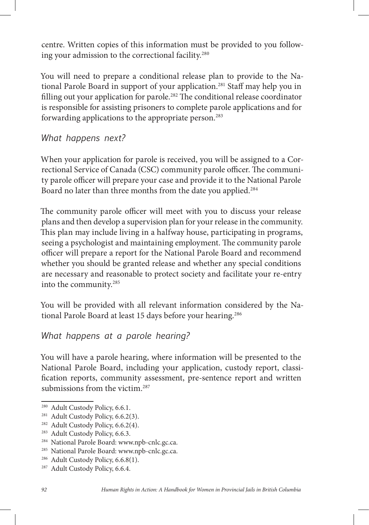centre. Written copies of this information must be provided to you following your admission to the correctional facility.<sup>280</sup>

You will need to prepare a conditional release plan to provide to the National Parole Board in support of your application.<sup>281</sup> Staff may help you in filling out your application for parole.<sup>282</sup> The conditional release coordinator is responsible for assisting prisoners to complete parole applications and for forwarding applications to the appropriate person.283

*What happens next?* 

When your application for parole is received, you will be assigned to a Correctional Service of Canada (CSC) community parole officer. The community parole officer will prepare your case and provide it to the National Parole Board no later than three months from the date you applied.<sup>284</sup>

The community parole officer will meet with you to discuss your release plans and then develop a supervision plan for your release in the community. This plan may include living in a halfway house, participating in programs, seeing a psychologist and maintaining employment. The community parole officer will prepare a report for the National Parole Board and recommend whether you should be granted release and whether any special conditions are necessary and reasonable to protect society and facilitate your re-entry into the community.285

You will be provided with all relevant information considered by the National Parole Board at least 15 days before your hearing.<sup>286</sup>

# *What happens at a parole hearing?*

You will have a parole hearing, where information will be presented to the National Parole Board, including your application, custody report, classi fication reports, community assessment, pre-sentence report and written submissions from the victim.<sup>287</sup>

<sup>&</sup>lt;sup>280</sup> Adult Custody Policy, 6.6.1.

<sup>&</sup>lt;sup>281</sup> Adult Custody Policy, 6.6.2(3).

<sup>&</sup>lt;sup>282</sup> Adult Custody Policy, 6.6.2(4).

<sup>&</sup>lt;sup>283</sup> Adult Custody Policy, 6.6.3.

<sup>284</sup> National Parole Board: www.npb-cnlc.gc.ca.

<sup>285</sup> National Parole Board: www.npb-cnlc.gc.ca.

<sup>&</sup>lt;sup>286</sup> Adult Custody Policy, 6.6.8(1).

<sup>&</sup>lt;sup>287</sup> Adult Custody Policy, 6.6.4.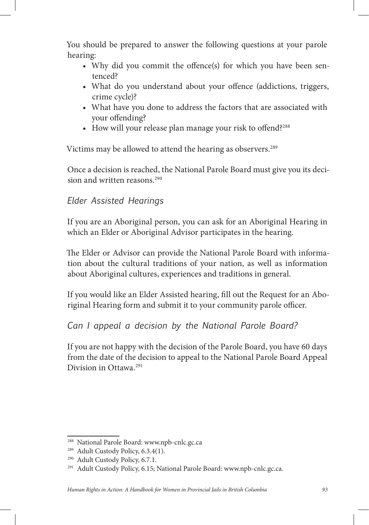You should be prepared to answer the following questions at your parole hearing:

- Why did you commit the offence(s) for which you have been sentenced?
- What do you understand about your offence (addictions, triggers, crime cycle)?
- What have you done to address the factors that are associated with your offending?
- $\bullet$  How will your release plan manage your risk to offend?<sup>288</sup>

Victims may be allowed to attend the hearing as observers.<sup>289</sup>

Once a decision is reached, the National Parole Board must give you its decision and written reasons.<sup>290</sup>

## *Elder Assisted Hearings*

If you are an Aboriginal person, you can ask for an Aboriginal Hearing in which an Elder or Aboriginal Advisor participates in the hearing.

The Elder or Advisor can provide the National Parole Board with information about the cultural traditions of your nation, as well as information about Aboriginal cultures, experiences and traditions in general.

If you would like an Elder Assisted hearing, fill out the Request for an Aboriginal Hearing form and submit it to your community parole officer.

## *Can I appeal a decision by the National Parole Board?*

If you are not happy with the decision of the Parole Board, you have 60 days from the date of the decision to appeal to the National Parole Board Appeal Division in Ottawa.291

<sup>288</sup> National Parole Board: www.npb-cnlc.gc.ca

<sup>&</sup>lt;sup>289</sup> Adult Custody Policy, 6.3.4(1).

<sup>290</sup> Adult Custody Policy, 6.7.1.

<sup>&</sup>lt;sup>291</sup> Adult Custody Policy, 6.15; National Parole Board: www.npb-cnlc.gc.ca.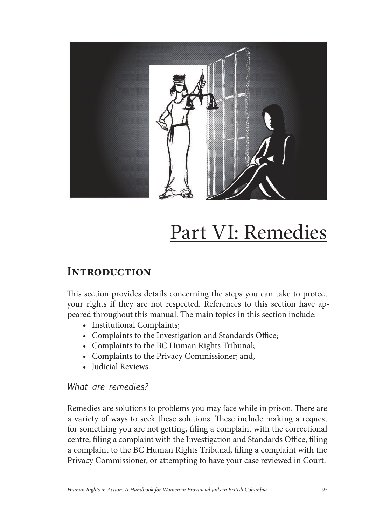

# Part VI: Remedies

# **Introduction**

This section provides details concerning the steps you can take to protect your rights if they are not respected. References to this section have appeared throughout this manual. The main topics in this section include:

- Institutional Complaints;
- Complaints to the Investigation and Standards Office;
- • Complaints to the BC Human Rights Tribunal;
- Complaints to the Privacy Commissioner; and,
- Iudicial Reviews.

#### *What are remedies?*

Remedies are solutions to problems you may face while in prison. There are a variety of ways to seek these solutions. These include making a request for something you are not getting, filing a complaint with the correctional centre, filing a complaint with the Investigation and Standards Office, filing a complaint to the BC Human Rights Tribunal, filing a complaint with the Privacy Commissioner, or attempting to have your case reviewed in Court.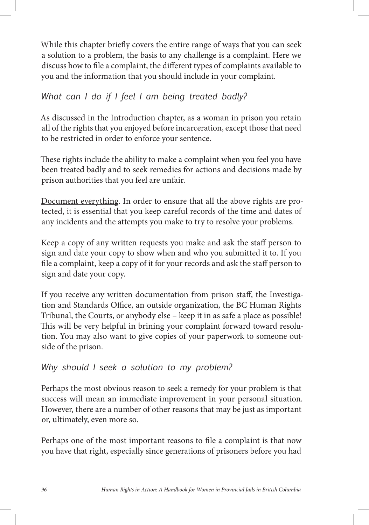While this chapter briefly covers the entire range of ways that you can seek a solution to a problem, the basis to any challenge is a complaint. Here we discuss how to file a complaint, the different types of complaints available to you and the information that you should include in your complaint.

## *What can I do if I feel I am being treated badly?*

As discussed in the Introduction chapter, as a woman in prison you retain all of the rights that you enjoyed before incarceration, except those that need to be restricted in order to enforce your sentence.

These rights include the ability to make a complaint when you feel you have been treated badly and to seek remedies for actions and decisions made by prison authorities that you feel are unfair.

Document everything. In order to ensure that all the above rights are protected, it is essential that you keep careful records of the time and dates of any incidents and the attempts you make to try to resolve your problems.

Keep a copy of any written requests you make and ask the staff person to sign and date your copy to show when and who you submitted it to. If you file a complaint, keep a copy of it for your records and ask the staff person to sign and date your copy.

If you receive any written documentation from prison staff, the Investigation and Standards Office, an outside organization, the BC Human Rights Tribunal, the Courts, or anybody else – keep it in as safe a place as possible! This will be very helpful in brining your complaint forward toward resolution. You may also want to give copies of your paperwork to someone outside of the prison.

## *Why should I seek a solution to my problem?*

Perhaps the most obvious reason to seek a remedy for your problem is that success will mean an immediate improvement in your personal situation. However, there are a number of other reasons that may be just as important or, ultimately, even more so.

Perhaps one of the most important reasons to file a complaint is that now you have that right, especially since generations of prisoners before you had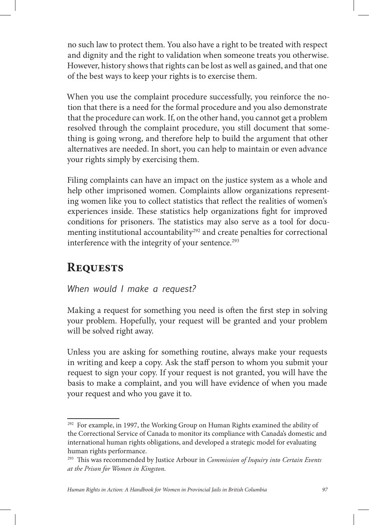no such law to protect them. You also have a right to be treated with respect and dignity and the right to validation when someone treats you otherwise. However, history shows that rights can be lost as well as gained, and that one of the best ways to keep your rights is to exercise them.

When you use the complaint procedure successfully, you reinforce the notion that there is a need for the formal procedure and you also demonstrate that the procedure can work. If, on the other hand, you cannot get a problem resolved through the complaint procedure, you still document that something is going wrong, and therefore help to build the argument that other alternatives are needed. In short, you can help to maintain or even advance your rights simply by exercising them.

Filing complaints can have an impact on the justice system as a whole and help other imprisoned women. Complaints allow organizations representing women like you to collect statistics that reflect the realities of women's experiences inside. These statistics help organizations fight for improved conditions for prisoners. The statistics may also serve as a tool for documenting institutional accountability<sup>292</sup> and create penalties for correctional interference with the integrity of your sentence.<sup>293</sup>

# **Requests**

## *When would I make a request?*

Making a request for something you need is often the first step in solving your problem. Hopefully, your request will be granted and your problem will be solved right away.

Unless you are asking for something routine, always make your requests in writing and keep a copy. Ask the staff person to whom you submit your request to sign your copy. If your request is not granted, you will have the basis to make a complaint, and you will have evidence of when you made your request and who you gave it to.

<sup>&</sup>lt;sup>292</sup> For example, in 1997, the Working Group on Human Rights examined the ability of the Correctional Service of Canada to monitor its compliance with Canada's domestic and international human rights obligations, and developed a strategic model for evaluating human rights performance.

<sup>&</sup>lt;sup>293</sup> This was recommended by Justice Arbour in *Commission of Inquiry into Certain Events at the Prison for Women in Kingston*.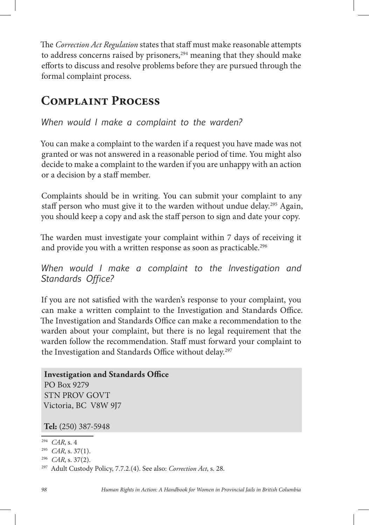The *Correction Act Regulation* states that staff must make reasonable attempts to address concerns raised by prisoners, $294$  meaning that they should make efforts to discuss and resolve problems before they are pursued through the formal complaint process.

# **Complaint Process**

*When would I make a complaint to the warden?*

You can make a complaint to the warden if a request you have made was not granted or was not answered in a reasonable period of time. You might also decide to make a complaint to the warden if you are unhappy with an action or a decision by a sta member.

Complaints should be in writing. You can submit your complaint to any staff person who must give it to the warden without undue delay.<sup>295</sup> Again, you should keep a copy and ask the staff person to sign and date your copy.

The warden must investigate your complaint within 7 days of receiving it and provide you with a written response as soon as practicable.<sup>296</sup>

*When would I make a complaint to the Investigation and Standards Office?* 

If you are not satisfied with the warden's response to your complaint, you can make a written complaint to the Investigation and Standards Office. The Investigation and Standards Office can make a recommendation to the warden about your complaint, but there is no legal requirement that the warden follow the recommendation. Staff must forward your complaint to the Investigation and Standards Office without delay.<sup>297</sup>

```
Investigation and Standards Office
PO Box 9279
STN PROV GOVT
Victoria, BC V8W 9J7
```
**Tel:** (250) 387-5948

<sup>294</sup> *CAR*, s. 4

<sup>295</sup> *CAR*, s. 37(1).

<sup>296</sup> *CAR*, s. 37(2).

<sup>297</sup> Adult Custody Policy, 7.7.2.(4). See also: *Correction Act*, s. 28.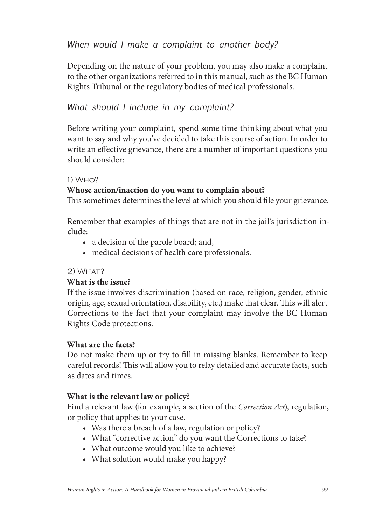*When would I make a complaint to another body?* 

Depending on the nature of your problem, you may also make a complaint to the other organizations referred to in this manual, such as the BC Human Rights Tribunal or the regulatory bodies of medical professionals.

#### *What should I include in my complaint?*

Before writing your complaint, spend some time thinking about what you want to say and why you've decided to take this course of action. In order to write an effective grievance, there are a number of important questions you should consider:

#### 1) Who?

#### **Whose action/inaction do you want to complain about?**

This sometimes determines the level at which you should file your grievance.

Remember that examples of things that are not in the jail's jurisdiction include:

- a decision of the parole board; and,
- • medical decisions of health care professionals.

#### $2)$  WHAT?

#### **What is the issue?**

If the issue involves discrimination (based on race, religion, gender, ethnic origin, age, sexual orientation, disability, etc.) make that clear. This will alert Corrections to the fact that your complaint may involve the BC Human Rights Code protections.

#### **What are the facts?**

Do not make them up or try to fill in missing blanks. Remember to keep careful records! This will allow you to relay detailed and accurate facts, such as dates and times.

#### **What is the relevant law or policy?**

Find a relevant law (for example, a section of the *Correction Act*), regulation, or policy that applies to your case.

- Was there a breach of a law, regulation or policy?
- What "corrective action" do you want the Corrections to take?
- What outcome would you like to achieve?
- What solution would make you happy?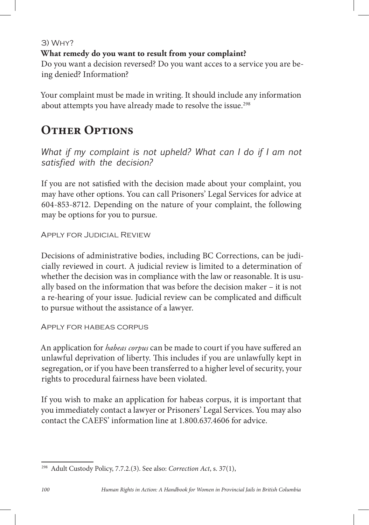3) Why?

#### **What remedy do you want to result from your complaint?**

Do you want a decision reversed? Do you want acces to a service you are being denied? Information?

Your complaint must be made in writing. It should include any information about attempts you have already made to resolve the issue.<sup>298</sup>

# **OTHER OPTIONS**

*What if my complaint is not upheld? What can I do if I am not satisfied with the decision?*

If you are not satisfied with the decision made about your complaint, you may have other options. You can call Prisoners' Legal Services for advice at 604-853-8712. Depending on the nature of your complaint, the following may be options for you to pursue.

Apply for Judicial Review

Decisions of administrative bodies, including BC Corrections, can be judicially reviewed in court. A judicial review is limited to a determination of whether the decision was in compliance with the law or reasonable. It is usually based on the information that was before the decision maker – it is not a re-hearing of your issue. Judicial review can be complicated and difficult to pursue without the assistance of a lawyer.

Apply for habeas corpus

An application for *habeas corpus* can be made to court if you have suffered an unlawful deprivation of liberty. This includes if you are unlawfully kept in segregation, or if you have been transferred to a higher level of security, your rights to procedural fairness have been violated.

If you wish to make an application for habeas corpus, it is important that you immediately contact a lawyer or Prisoners' Legal Services. You may also contact the CAEFS' information line at 1.800.637.4606 for advice.

<sup>298</sup> Adult Custody Policy, 7.7.2.(3). See also: *Correction Act*, s. 37(1),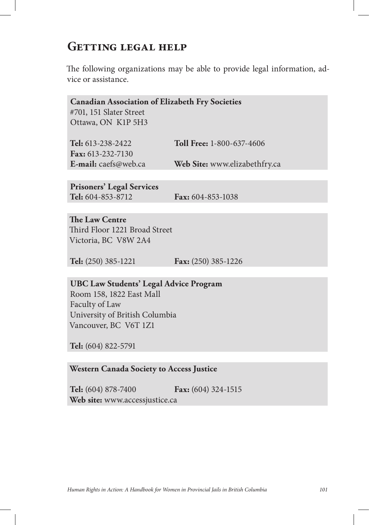# **Getting legal help**

The following organizations may be able to provide legal information, advice or assistance.

| <b>Canadian Association of Elizabeth Fry Societies</b> |                               |
|--------------------------------------------------------|-------------------------------|
| #701, 151 Slater Street                                |                               |
| Ottawa, ON K1P 5H3                                     |                               |
|                                                        |                               |
| Tel: 613-238-2422                                      | Toll Free: 1-800-637-4606     |
| Fax: 613-232-7130                                      |                               |
| E-mail: caefs@web.ca                                   | Web Site: www.elizabethfry.ca |
|                                                        |                               |

**Prisoners' Legal Services Tel:** 604-853-8712 **Fax:** 604-853-1038

**The Law Centre** Third Floor 1221 Broad Street Victoria, BC V8W 2A4

**Tel:** (250) 385-1221 **Fax:** (250) 385-1226

#### **UBC Law Students' Legal Advice Program** Room 158, 1822 East Mall

Faculty of Law University of British Columbia Vancouver, BC V6T 1Z1

**Tel:** (604) 822-5791

#### **Western Canada Society to Access Justice**

**Tel:** (604) 878-7400 **Fax:** (604) 324-1515 **Web site:** www.accessjustice.ca